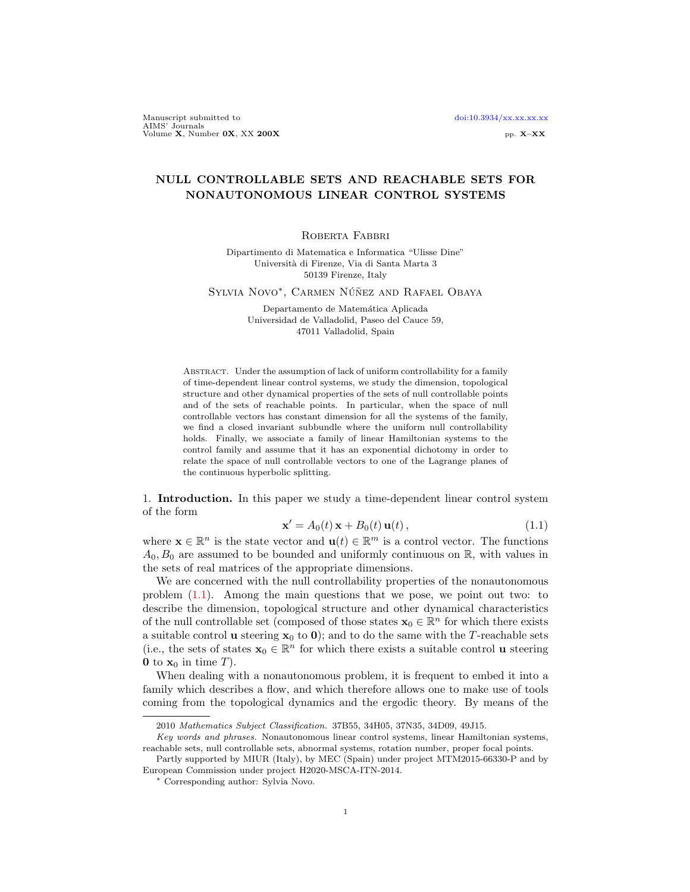Manuscript submitted to [doi:10.3934/xx.xx.xx.xx](http://dx.doi.org/10.3934/xx.xx.xx.xx).xx AIMS' Journals<br>Volume X, Number 0X, XX 200X pp. X–XX pp. X–XX

## NULL CONTROLLABLE SETS AND REACHABLE SETS FOR NONAUTONOMOUS LINEAR CONTROL SYSTEMS

## ROBERTA FABBRI

Dipartimento di Matematica e Informatica "Ulisse Dine" Universit`a di Firenze, Via di Santa Marta 3 50139 Firenze, Italy

Sylvia Novo<sup>∗</sup>, Carmen Núñez and Rafael Obaya

Departamento de Matemática Aplicada Universidad de Valladolid, Paseo del Cauce 59, 47011 Valladolid, Spain

Abstract. Under the assumption of lack of uniform controllability for a family of time-dependent linear control systems, we study the dimension, topological structure and other dynamical properties of the sets of null controllable points and of the sets of reachable points. In particular, when the space of null controllable vectors has constant dimension for all the systems of the family, we find a closed invariant subbundle where the uniform null controllability holds. Finally, we associate a family of linear Hamiltonian systems to the control family and assume that it has an exponential dichotomy in order to relate the space of null controllable vectors to one of the Lagrange planes of the continuous hyperbolic splitting.

1. Introduction. In this paper we study a time-dependent linear control system of the form

<span id="page-0-0"></span>
$$
\mathbf{x}' = A_0(t)\,\mathbf{x} + B_0(t)\,\mathbf{u}(t)\,,\tag{1.1}
$$

where  $\mathbf{x} \in \mathbb{R}^n$  is the state vector and  $\mathbf{u}(t) \in \mathbb{R}^m$  is a control vector. The functions  $A_0, B_0$  are assumed to be bounded and uniformly continuous on R, with values in the sets of real matrices of the appropriate dimensions.

We are concerned with the null controllability properties of the nonautonomous problem [\(1.1\)](#page-0-0). Among the main questions that we pose, we point out two: to describe the dimension, topological structure and other dynamical characteristics of the null controllable set (composed of those states  $\mathbf{x}_0 \in \mathbb{R}^n$  for which there exists a suitable control **u** steering  $x_0$  to **0**); and to do the same with the T-reachable sets (i.e., the sets of states  $\mathbf{x}_0 \in \mathbb{R}^n$  for which there exists a suitable control **u** steering 0 to  $\mathbf{x}_0$  in time T).

When dealing with a nonautonomous problem, it is frequent to embed it into a family which describes a flow, and which therefore allows one to make use of tools coming from the topological dynamics and the ergodic theory. By means of the

<sup>2010</sup> Mathematics Subject Classification. 37B55, 34H05, 37N35, 34D09, 49J15.

Key words and phrases. Nonautonomous linear control systems, linear Hamiltonian systems, reachable sets, null controllable sets, abnormal systems, rotation number, proper focal points.

Partly supported by MIUR (Italy), by MEC (Spain) under project MTM2015-66330-P and by European Commission under project H2020-MSCA-ITN-2014.

<sup>∗</sup> Corresponding author: Sylvia Novo.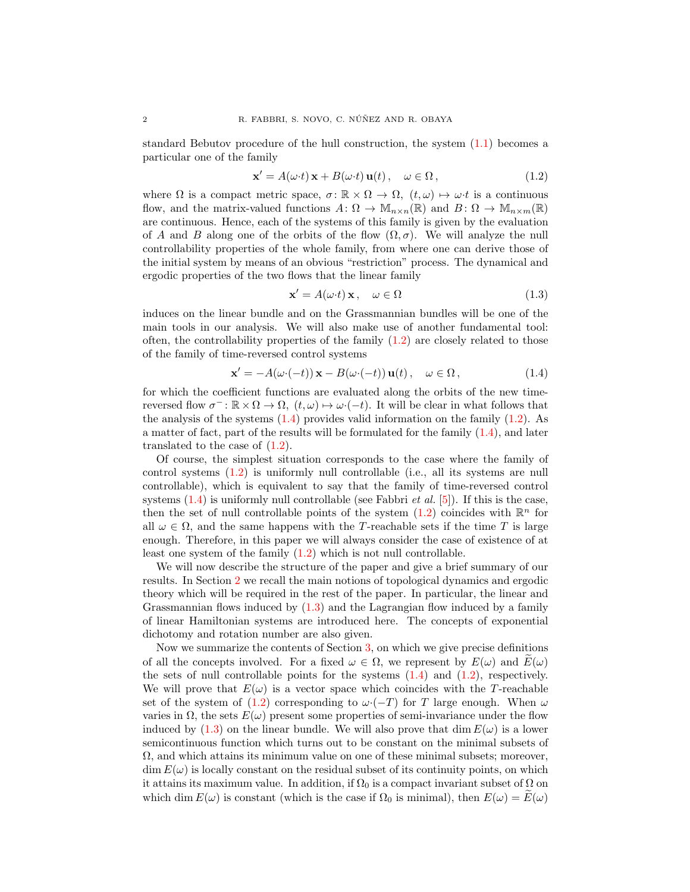standard Bebutov procedure of the hull construction, the system [\(1.1\)](#page-0-0) becomes a particular one of the family

<span id="page-1-0"></span>
$$
\mathbf{x}' = A(\omega \cdot t) \mathbf{x} + B(\omega \cdot t) \mathbf{u}(t), \quad \omega \in \Omega,
$$
\n(1.2)

where  $\Omega$  is a compact metric space,  $\sigma \colon \mathbb{R} \times \Omega \to \Omega$ ,  $(t, \omega) \mapsto \omega \cdot t$  is a continuous flow, and the matrix-valued functions  $A: \Omega \to M_{n \times n}(\mathbb{R})$  and  $B: \Omega \to M_{n \times m}(\mathbb{R})$ are continuous. Hence, each of the systems of this family is given by the evaluation of A and B along one of the orbits of the flow  $(\Omega, \sigma)$ . We will analyze the null controllability properties of the whole family, from where one can derive those of the initial system by means of an obvious "restriction" process. The dynamical and ergodic properties of the two flows that the linear family

<span id="page-1-2"></span>
$$
\mathbf{x}' = A(\omega \cdot t) \mathbf{x}, \quad \omega \in \Omega \tag{1.3}
$$

induces on the linear bundle and on the Grassmannian bundles will be one of the main tools in our analysis. We will also make use of another fundamental tool: often, the controllability properties of the family  $(1.2)$  are closely related to those of the family of time-reversed control systems

<span id="page-1-1"></span>
$$
\mathbf{x}' = -A(\omega \cdot (-t)) \mathbf{x} - B(\omega \cdot (-t)) \mathbf{u}(t), \quad \omega \in \Omega,
$$
\n(1.4)

for which the coefficient functions are evaluated along the orbits of the new timereversed flow  $\sigma^- : \mathbb{R} \times \Omega \to \Omega$ ,  $(t, \omega) \mapsto \omega \cdot (-t)$ . It will be clear in what follows that the analysis of the systems  $(1.4)$  provides valid information on the family  $(1.2)$ . As a matter of fact, part of the results will be formulated for the family  $(1.4)$ , and later translated to the case of  $(1.2)$ .

Of course, the simplest situation corresponds to the case where the family of control systems [\(1.2\)](#page-1-0) is uniformly null controllable (i.e., all its systems are null controllable), which is equivalent to say that the family of time-reversed control systems  $(1.4)$  is uniformly null controllable (see Fabbri *et al.* [\[5\]](#page-24-0)). If this is the case, then the set of null controllable points of the system  $(1.2)$  coincides with  $\mathbb{R}^n$  for all  $\omega \in \Omega$ , and the same happens with the T-reachable sets if the time T is large enough. Therefore, in this paper we will always consider the case of existence of at least one system of the family [\(1.2\)](#page-1-0) which is not null controllable.

We will now describe the structure of the paper and give a brief summary of our results. In Section [2](#page-3-0) we recall the main notions of topological dynamics and ergodic theory which will be required in the rest of the paper. In particular, the linear and Grassmannian flows induced by [\(1.3\)](#page-1-2) and the Lagrangian flow induced by a family of linear Hamiltonian systems are introduced here. The concepts of exponential dichotomy and rotation number are also given.

Now we summarize the contents of Section [3,](#page-8-0) on which we give precise definitions of all the concepts involved. For a fixed  $\omega \in \Omega$ , we represent by  $E(\omega)$  and  $E(\omega)$ the sets of null controllable points for the systems  $(1.4)$  and  $(1.2)$ , respectively. We will prove that  $E(\omega)$  is a vector space which coincides with the T-reachable set of the system of [\(1.2\)](#page-1-0) corresponding to  $\omega$ ·(-T) for T large enough. When  $\omega$ varies in  $\Omega$ , the sets  $E(\omega)$  present some properties of semi-invariance under the flow induced by [\(1.3\)](#page-1-2) on the linear bundle. We will also prove that dim  $E(\omega)$  is a lower semicontinuous function which turns out to be constant on the minimal subsets of  $\Omega$ , and which attains its minimum value on one of these minimal subsets; moreover,  $\dim E(\omega)$  is locally constant on the residual subset of its continuity points, on which it attains its maximum value. In addition, if  $\Omega_0$  is a compact invariant subset of  $\Omega$  on which dim  $E(\omega)$  is constant (which is the case if  $\Omega_0$  is minimal), then  $E(\omega) = E(\omega)$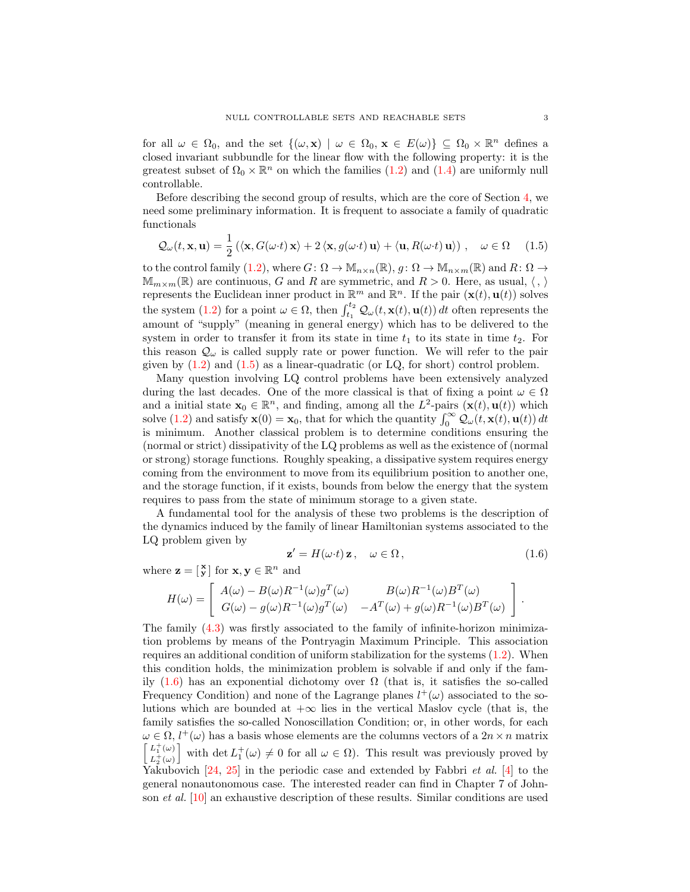for all  $\omega \in \Omega_0$ , and the set  $\{(\omega, \mathbf{x}) \mid \omega \in \Omega_0, \mathbf{x} \in E(\omega)\} \subseteq \Omega_0 \times \mathbb{R}^n$  defines a closed invariant subbundle for the linear flow with the following property: it is the greatest subset of  $\Omega_0 \times \mathbb{R}^n$  on which the families  $(1.2)$  and  $(1.4)$  are uniformly null controllable.

Before describing the second group of results, which are the core of Section [4,](#page-16-0) we need some preliminary information. It is frequent to associate a family of quadratic functionals

<span id="page-2-0"></span>
$$
\mathcal{Q}_{\omega}(t, \mathbf{x}, \mathbf{u}) = \frac{1}{2} \left( \langle \mathbf{x}, G(\omega \cdot t) \mathbf{x} \rangle + 2 \langle \mathbf{x}, g(\omega \cdot t) \mathbf{u} \rangle + \langle \mathbf{u}, R(\omega \cdot t) \mathbf{u} \rangle \right), \quad \omega \in \Omega \quad (1.5)
$$

to the control family [\(1.2\)](#page-1-0), where  $G: \Omega \to M_{n \times n}(\mathbb{R}), g: \Omega \to M_{n \times m}(\mathbb{R})$  and  $R: \Omega \to$  $\mathbb{M}_{m\times m}(\mathbb{R})$  are continuous, G and R are symmetric, and  $R > 0$ . Here, as usual,  $\langle , \rangle$ represents the Euclidean inner product in  $\mathbb{R}^m$  and  $\mathbb{R}^n$ . If the pair  $(\mathbf{x}(t), \mathbf{u}(t))$  solves the system [\(1.2\)](#page-1-0) for a point  $\omega \in \Omega$ , then  $\int_{t_1}^{t_2} \mathcal{Q}_{\omega}(t, \mathbf{x}(t), \mathbf{u}(t)) dt$  often represents the amount of "supply" (meaning in general energy) which has to be delivered to the system in order to transfer it from its state in time  $t_1$  to its state in time  $t_2$ . For this reason  $\mathcal{Q}_{\omega}$  is called supply rate or power function. We will refer to the pair given by  $(1.2)$  and  $(1.5)$  as a linear-quadratic (or LQ, for short) control problem.

Many question involving LQ control problems have been extensively analyzed during the last decades. One of the more classical is that of fixing a point  $\omega \in \Omega$ and a initial state  $\mathbf{x}_0 \in \mathbb{R}^n$ , and finding, among all the  $L^2$ -pairs  $(\mathbf{x}(t), \mathbf{u}(t))$  which solve [\(1.2\)](#page-1-0) and satisfy  $\mathbf{x}(0) = \mathbf{x}_0$ , that for which the quantity  $\int_0^\infty \mathcal{Q}_{\omega}(t, \mathbf{x}(t), \mathbf{u}(t)) dt$ is minimum. Another classical problem is to determine conditions ensuring the (normal or strict) dissipativity of the LQ problems as well as the existence of (normal or strong) storage functions. Roughly speaking, a dissipative system requires energy coming from the environment to move from its equilibrium position to another one, and the storage function, if it exists, bounds from below the energy that the system requires to pass from the state of minimum storage to a given state.

A fundamental tool for the analysis of these two problems is the description of the dynamics induced by the family of linear Hamiltonian systems associated to the LQ problem given by

<span id="page-2-1"></span>
$$
\mathbf{z}' = H(\omega \cdot t) \mathbf{z}, \quad \omega \in \Omega, \tag{1.6}
$$

where  $\mathbf{z} = \begin{bmatrix} \mathbf{x} \\ \mathbf{y} \end{bmatrix}$  for  $\mathbf{x}, \mathbf{y} \in \mathbb{R}^n$  and

$$
H(\omega) = \begin{bmatrix} A(\omega) - B(\omega)R^{-1}(\omega)g^T(\omega) & B(\omega)R^{-1}(\omega)B^T(\omega) \\ G(\omega) - g(\omega)R^{-1}(\omega)g^T(\omega) & -A^T(\omega) + g(\omega)R^{-1}(\omega)B^T(\omega) \end{bmatrix}.
$$

The family [\(4.3\)](#page-16-1) was firstly associated to the family of infinite-horizon minimization problems by means of the Pontryagin Maximum Principle. This association requires an additional condition of uniform stabilization for the systems [\(1.2\)](#page-1-0). When this condition holds, the minimization problem is solvable if and only if the family  $(1.6)$  has an exponential dichotomy over  $\Omega$  (that is, it satisfies the so-called Frequency Condition) and none of the Lagrange planes  $l^+(\omega)$  associated to the solutions which are bounded at  $+\infty$  lies in the vertical Maslov cycle (that is, the family satisfies the so-called Nonoscillation Condition; or, in other words, for each  $\omega \in \Omega$ ,  $l^+(\omega)$  has a basis whose elements are the columns vectors of a  $2n \times n$  matrix  $L_1^+(\omega)$  $L_2^+(\omega)$ with det  $L_1^+(\omega) \neq 0$  for all  $\omega \in \Omega$ ). This result was previously proved by Yakubovich  $[24, 25]$  $[24, 25]$  $[24, 25]$  in the periodic case and extended by Fabbri *et al.* [\[4\]](#page-24-1) to the general nonautonomous case. The interested reader can find in Chapter 7 of Johnson et al. [\[10\]](#page-25-2) an exhaustive description of these results. Similar conditions are used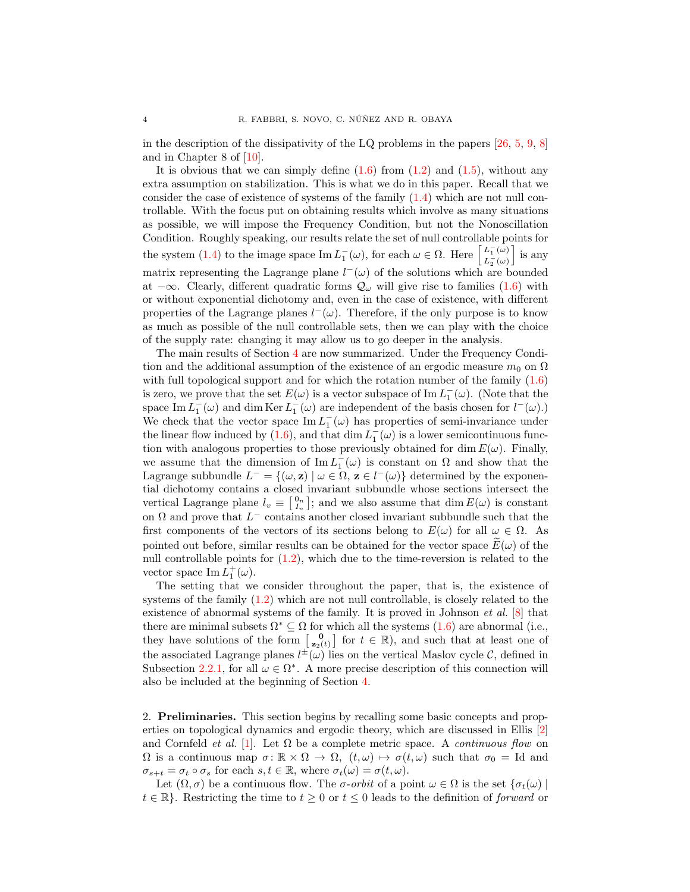in the description of the dissipativity of the LQ problems in the papers  $[26, 5, 9, 8]$  $[26, 5, 9, 8]$  $[26, 5, 9, 8]$  $[26, 5, 9, 8]$  $[26, 5, 9, 8]$  $[26, 5, 9, 8]$  $[26, 5, 9, 8]$ and in Chapter 8 of [\[10\]](#page-25-2).

It is obvious that we can simply define  $(1.6)$  from  $(1.2)$  and  $(1.5)$ , without any extra assumption on stabilization. This is what we do in this paper. Recall that we consider the case of existence of systems of the family  $(1.4)$  which are not null controllable. With the focus put on obtaining results which involve as many situations as possible, we will impose the Frequency Condition, but not the Nonoscillation Condition. Roughly speaking, our results relate the set of null controllable points for the system [\(1.4\)](#page-1-1) to the image space  $\text{Im } L_1^-(\omega)$ , for each  $\omega \in \Omega$ . Here  $\begin{bmatrix} L_1^-(\omega) \\ L_2^-(\omega) \end{bmatrix}$  $L_2^-(\omega)$ i is any matrix representing the Lagrange plane  $l^-(\omega)$  of the solutions which are bounded at  $-\infty$ . Clearly, different quadratic forms  $\mathcal{Q}_{\omega}$  will give rise to families [\(1.6\)](#page-2-1) with or without exponential dichotomy and, even in the case of existence, with different properties of the Lagrange planes  $l^-(\omega)$ . Therefore, if the only purpose is to know as much as possible of the null controllable sets, then we can play with the choice of the supply rate: changing it may allow us to go deeper in the analysis.

The main results of Section [4](#page-16-0) are now summarized. Under the Frequency Condition and the additional assumption of the existence of an ergodic measure  $m_0$  on  $\Omega$ with full topological support and for which the rotation number of the family  $(1.6)$ is zero, we prove that the set  $E(\omega)$  is a vector subspace of Im  $L_1^-(\omega)$ . (Note that the space Im  $L_1^-(\omega)$  and dim Ker  $L_1^-(\omega)$  are independent of the basis chosen for  $l^-(\omega)$ . We check that the vector space  $\text{Im } L_1^-(\omega)$  has properties of semi-invariance under the linear flow induced by [\(1.6\)](#page-2-1), and that  $\dim L_1^-(\omega)$  is a lower semicontinuous function with analogous properties to those previously obtained for dim  $E(\omega)$ . Finally, we assume that the dimension of  $\text{Im } L_1^-(\omega)$  is constant on  $\Omega$  and show that the Lagrange subbundle  $L^- = \{(\omega, \mathbf{z}) \mid \omega \in \Omega, \mathbf{z} \in l^-(\omega)\}\$  determined by the exponential dichotomy contains a closed invariant subbundle whose sections intersect the vertical Lagrange plane  $l_v \equiv \begin{bmatrix} 0_n \\ I_n \end{bmatrix}$ ; and we also assume that  $\dim E(\omega)$  is constant on  $\Omega$  and prove that  $L^-$  contains another closed invariant subbundle such that the first components of the vectors of its sections belong to  $E(\omega)$  for all  $\omega \in \Omega$ . As pointed out before, similar results can be obtained for the vector space  $E(\omega)$  of the null controllable points for  $(1.2)$ , which due to the time-reversion is related to the vector space  $\text{Im } L_1^+(\omega)$ .

The setting that we consider throughout the paper, that is, the existence of systems of the family [\(1.2\)](#page-1-0) which are not null controllable, is closely related to the existence of abnormal systems of the family. It is proved in Johnson et al. [\[8\]](#page-25-5) that there are minimal subsets  $\Omega^* \subseteq \Omega$  for which all the systems [\(1.6\)](#page-2-1) are abnormal (i.e., they have solutions of the form  $\begin{bmatrix} 0 \\ z_2(t) \end{bmatrix}$  for  $t \in \mathbb{R}$ ), and such that at least one of the associated Lagrange planes  $l^{\pm}(\omega)$  lies on the vertical Maslov cycle C, defined in Subsection [2.2.1,](#page-5-0) for all  $\omega \in \Omega^*$ . A more precise description of this connection will also be included at the beginning of Section [4.](#page-16-0)

<span id="page-3-0"></span>2. Preliminaries. This section begins by recalling some basic concepts and properties on topological dynamics and ergodic theory, which are discussed in Ellis [\[2\]](#page-24-2) and Cornfeld *et al.* [\[1\]](#page-24-3). Let  $\Omega$  be a complete metric space. A *continuous flow* on  $\Omega$  is a continuous map  $\sigma: \mathbb{R} \times \Omega \to \Omega$ ,  $(t, \omega) \mapsto \sigma(t, \omega)$  such that  $\sigma_0 = \text{Id}$  and  $\sigma_{s+t} = \sigma_t \circ \sigma_s$  for each  $s, t \in \mathbb{R}$ , where  $\sigma_t(\omega) = \sigma(t, \omega)$ .

Let  $(\Omega, \sigma)$  be a continuous flow. The  $\sigma$ -orbit of a point  $\omega \in \Omega$  is the set  $\{\sigma_t(\omega)\}\$  $t \in \mathbb{R}$ . Restricting the time to  $t \geq 0$  or  $t \leq 0$  leads to the definition of *forward* or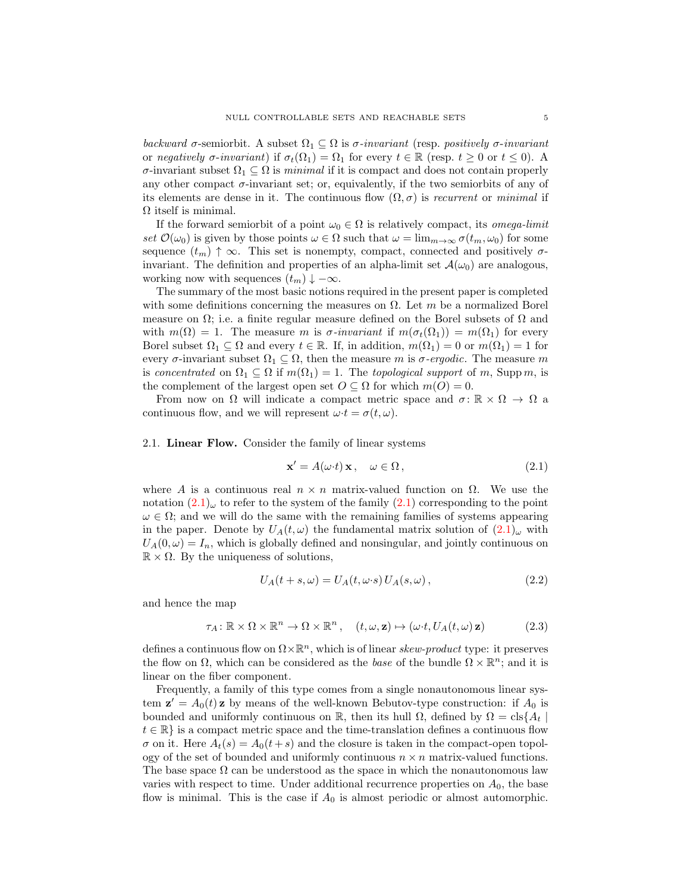backward  $\sigma$ -semiorbit. A subset  $\Omega_1 \subseteq \Omega$  is  $\sigma$ -invariant (resp. positively  $\sigma$ -invariant or negatively  $\sigma$ -invariant) if  $\sigma_t(\Omega_1) = \Omega_1$  for every  $t \in \mathbb{R}$  (resp.  $t \geq 0$  or  $t \leq 0$ ). A σ-invariant subset Ω<sup>1</sup> ⊆ Ω is minimal if it is compact and does not contain properly any other compact  $\sigma$ -invariant set; or, equivalently, if the two semiorbits of any of its elements are dense in it. The continuous flow  $(\Omega, \sigma)$  is *recurrent* or *minimal* if  $\Omega$  itself is minimal.

If the forward semiorbit of a point  $\omega_0 \in \Omega$  is relatively compact, its *omega-limit* set  $\mathcal{O}(\omega_0)$  is given by those points  $\omega \in \Omega$  such that  $\omega = \lim_{m \to \infty} \sigma(t_m, \omega_0)$  for some sequence  $(t_m) \uparrow \infty$ . This set is nonempty, compact, connected and positively  $\sigma$ invariant. The definition and properties of an alpha-limit set  $\mathcal{A}(\omega_0)$  are analogous, working now with sequences  $(t_m) \downarrow -\infty$ .

The summary of the most basic notions required in the present paper is completed with some definitions concerning the measures on  $\Omega$ . Let m be a normalized Borel measure on  $\Omega$ ; i.e. a finite regular measure defined on the Borel subsets of  $\Omega$  and with  $m(\Omega) = 1$ . The measure m is  $\sigma$ -invariant if  $m(\sigma_t(\Omega_1)) = m(\Omega_1)$  for every Borel subset  $\Omega_1 \subseteq \Omega$  and every  $t \in \mathbb{R}$ . If, in addition,  $m(\Omega_1) = 0$  or  $m(\Omega_1) = 1$  for every  $\sigma$ -invariant subset  $\Omega_1 \subseteq \Omega$ , then the measure m is  $\sigma$ -ergodic. The measure m is concentrated on  $\Omega_1 \subseteq \Omega$  if  $m(\Omega_1) = 1$ . The topological support of m, Supp m, is the complement of the largest open set  $O \subseteq \Omega$  for which  $m(O) = 0$ .

From now on  $\Omega$  will indicate a compact metric space and  $\sigma: \mathbb{R} \times \Omega \to \Omega$  a continuous flow, and we will represent  $\omega \cdot t = \sigma(t, \omega)$ .

2.1. Linear Flow. Consider the family of linear systems

<span id="page-4-0"></span>
$$
\mathbf{x}' = A(\omega \cdot t) \mathbf{x}, \quad \omega \in \Omega, \tag{2.1}
$$

where A is a continuous real  $n \times n$  matrix-valued function on  $\Omega$ . We use the notation  $(2.1)_{\omega}$  $(2.1)_{\omega}$  to refer to the system of the family  $(2.1)$  corresponding to the point  $\omega \in \Omega$ ; and we will do the same with the remaining families of systems appearing in the paper. Denote by  $U_A(t, \omega)$  the fundamental matrix solution of  $(2.1)_{\omega}$  $(2.1)_{\omega}$  with  $U_A(0,\omega) = I_n$ , which is globally defined and nonsingular, and jointly continuous on  $\mathbb{R} \times \Omega$ . By the uniqueness of solutions,

<span id="page-4-1"></span>
$$
U_A(t+s,\omega) = U_A(t,\omega \cdot s) U_A(s,\omega), \qquad (2.2)
$$

and hence the map

<span id="page-4-2"></span>
$$
\tau_A \colon \mathbb{R} \times \Omega \times \mathbb{R}^n \to \Omega \times \mathbb{R}^n, \quad (t, \omega, \mathbf{z}) \mapsto (\omega \cdot t, U_A(t, \omega) \mathbf{z}) \tag{2.3}
$$

defines a continuous flow on  $\Omega \times \mathbb{R}^n$ , which is of linear skew-product type: it preserves the flow on  $\Omega$ , which can be considered as the *base* of the bundle  $\Omega \times \mathbb{R}^n$ ; and it is linear on the fiber component.

Frequently, a family of this type comes from a single nonautonomous linear system  $\mathbf{z}' = A_0(t)\mathbf{z}$  by means of the well-known Bebutov-type construction: if  $A_0$  is bounded and uniformly continuous on R, then its hull  $\Omega$ , defined by  $\Omega = \text{cls}\lbrace A_t \rbrace$  $t \in \mathbb{R}$  is a compact metric space and the time-translation defines a continuous flow  $\sigma$  on it. Here  $A_t(s) = A_0(t+s)$  and the closure is taken in the compact-open topology of the set of bounded and uniformly continuous  $n \times n$  matrix-valued functions. The base space  $\Omega$  can be understood as the space in which the nonautonomous law varies with respect to time. Under additional recurrence properties on  $A_0$ , the base flow is minimal. This is the case if  $A_0$  is almost periodic or almost automorphic.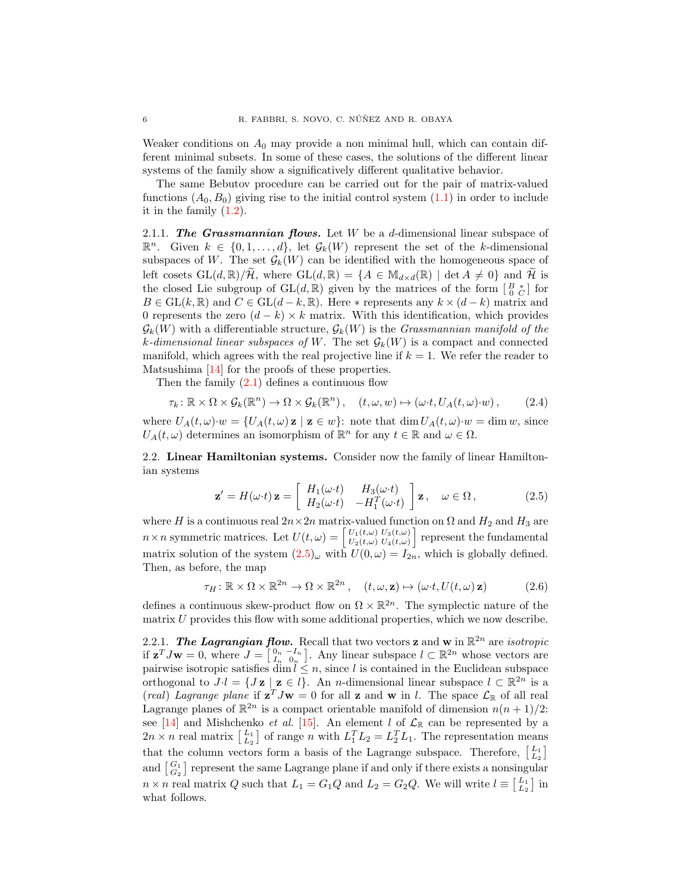Weaker conditions on  $A_0$  may provide a non minimal hull, which can contain different minimal subsets. In some of these cases, the solutions of the different linear systems of the family show a significatively different qualitative behavior.

The same Bebutov procedure can be carried out for the pair of matrix-valued functions  $(A_0, B_0)$  giving rise to the initial control system  $(1.1)$  in order to include it in the family  $(1.2)$ .

2.1.1. The Grassmannian flows. Let  $W$  be a d-dimensional linear subspace of  $\mathbb{R}^n$ . Given  $k \in \{0, 1, ..., d\}$ , let  $\mathcal{G}_k(W)$  represent the set of the k-dimensional subspaces of W. The set  $\mathcal{G}_k(W)$  can be identified with the homogeneous space of left cosets  $GL(d,\mathbb{R})/\mathcal{H}$ , where  $GL(d,\mathbb{R}) = \{A \in M_{d \times d}(\mathbb{R}) \mid \det A \neq 0\}$  and  $\mathcal{H}$  is the closed Lie subgroup of  $GL(d, \mathbb{R})$  given by the matrices of the form  $\begin{bmatrix} B & * \\ 0 & C \end{bmatrix}$  for  $B \in GL(k, \mathbb{R})$  and  $C \in GL(d-k, \mathbb{R})$ . Here  $*$  represents any  $k \times (d-k)$  matrix and 0 represents the zero  $(d - k) \times k$  matrix. With this identification, which provides  $\mathcal{G}_k(W)$  with a differentiable structure,  $\mathcal{G}_k(W)$  is the *Grassmannian manifold of the* k-dimensional linear subspaces of W. The set  $\mathcal{G}_k(W)$  is a compact and connected manifold, which agrees with the real projective line if  $k = 1$ . We refer the reader to Matsushima [\[14\]](#page-25-6) for the proofs of these properties.

Then the family  $(2.1)$  defines a continuous flow

<span id="page-5-3"></span>
$$
\tau_k \colon \mathbb{R} \times \Omega \times \mathcal{G}_k(\mathbb{R}^n) \to \Omega \times \mathcal{G}_k(\mathbb{R}^n), \quad (t, \omega, w) \mapsto (\omega \cdot t, U_A(t, \omega) \cdot w), \tag{2.4}
$$

where  $U_A(t,\omega)\cdot w = \{U_A(t,\omega) \mathbf{z} \mid \mathbf{z} \in w\}$ : note that  $\dim U_A(t,\omega)\cdot w = \dim w$ , since  $U_A(t,\omega)$  determines an isomorphism of  $\mathbb{R}^n$  for any  $t \in \mathbb{R}$  and  $\omega \in \Omega$ .

2.2. Linear Hamiltonian systems. Consider now the family of linear Hamiltonian systems

<span id="page-5-1"></span>
$$
\mathbf{z}' = H(\omega \cdot t) \mathbf{z} = \begin{bmatrix} H_1(\omega \cdot t) & H_3(\omega \cdot t) \\ H_2(\omega \cdot t) & -H_1^T(\omega \cdot t) \end{bmatrix} \mathbf{z}, \quad \omega \in \Omega, \quad (2.5)
$$

where H is a continuous real  $2n \times 2n$  matrix-valued function on  $\Omega$  and  $H_2$  and  $H_3$  are  $n \times n$  symmetric matrices. Let  $U(t,\omega) = \begin{bmatrix} U_1(t,\omega) & U_3(t,\omega) \\ U_2(t,\omega) & U_4(t,\omega) \end{bmatrix}$  $\left[\begin{smallmatrix} U_1(t,\omega) & U_3(t,\omega)\ U_2(t,\omega) & U_4(t,\omega) \end{smallmatrix}\right] \text{ represent the fundamental } \text{}$ matrix solution of the system  $(2.5)_{\omega}$  $(2.5)_{\omega}$  with  $U(0,\omega) = I_{2n}$ , which is globally defined. Then, as before, the map

<span id="page-5-2"></span> $\tau_H : \mathbb{R} \times \Omega \times \mathbb{R}^{2n} \to \Omega \times \mathbb{R}^{2n}$ ,  $(t, \omega, \mathbf{z}) \mapsto (\omega \cdot t, U(t, \omega) \mathbf{z})$  (2.6)

defines a continuous skew-product flow on  $\Omega \times \mathbb{R}^{2n}$ . The symplectic nature of the matrix  $U$  provides this flow with some additional properties, which we now describe.

<span id="page-5-0"></span>2.2.1. The Lagrangian flow. Recall that two vectors **z** and **w** in  $\mathbb{R}^{2n}$  are *isotropic* if  $\mathbf{z}^T J \mathbf{w} = 0$ , where  $J = \begin{bmatrix} 0 & -I_n \\ I_n & 0_n \end{bmatrix}$ . Any linear subspace  $l \subset \mathbb{R}^{2n}$  whose vectors are pairwise isotropic satisfies dim  $l \leq n$ , since l is contained in the Euclidean subspace orthogonal to  $J \cdot l = \{ J \mathbf{z} \mid \mathbf{z} \in l \}.$  An *n*-dimensional linear subspace  $l \subset \mathbb{R}^{2n}$  is a (real) Lagrange plane if  $z^T Jw = 0$  for all z and w in l. The space  $\mathcal{L}_{\mathbb{R}}$  of all real Lagrange planes of  $\mathbb{R}^{2n}$  is a compact orientable manifold of dimension  $n(n+1)/2$ : see [\[14\]](#page-25-6) and Mishchenko *et al.* [\[15\]](#page-25-7). An element *l* of  $\mathcal{L}_{\mathbb{R}}$  can be represented by a  $2n \times n$  real matrix  $\begin{bmatrix} L_1 \\ L_2 \end{bmatrix}$  of range n with  $L_1^T L_2 = L_2^T L_1$ . The representation means that the column vectors form a basis of the Lagrange subspace. Therefore,  $\begin{bmatrix} L_1 \\ L_2 \end{bmatrix}$ and  $\begin{bmatrix} G_1 \\ G_2 \end{bmatrix}$  represent the same Lagrange plane if and only if there exists a nonsingular  $n \times n$  real matrix Q such that  $L_1 = G_1 Q$  and  $L_2 = G_2 Q$ . We will write  $l \equiv \begin{bmatrix} L_1 \\ L_2 \end{bmatrix}$  in what follows.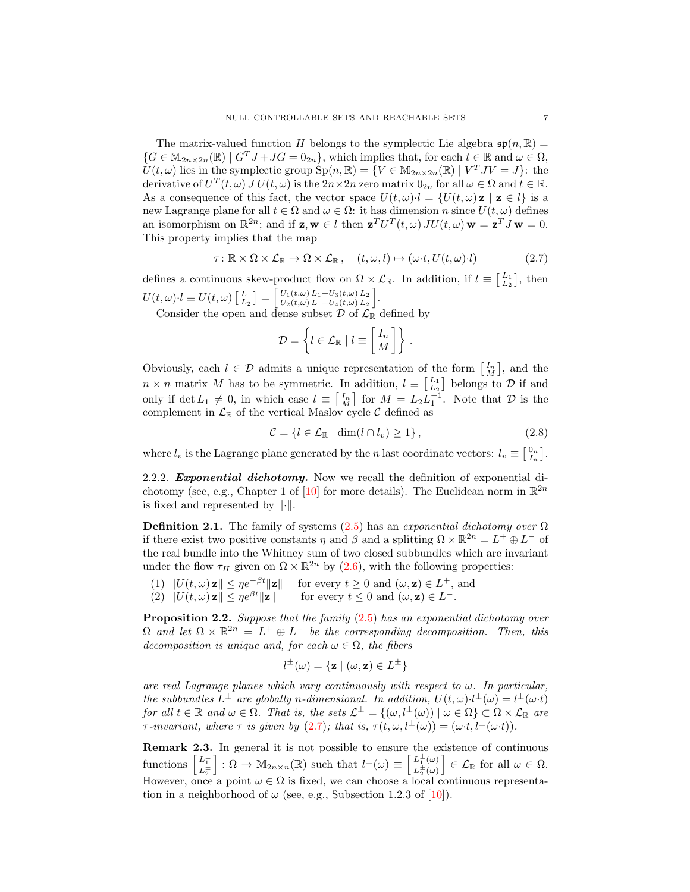The matrix-valued function H belongs to the symplectic Lie algebra  $\mathfrak{sp}(n,\mathbb{R})=$  ${G \in \mathbb{M}_{2n \times 2n}(\mathbb{R}) \mid G^T J + JG = 0_{2n}}$ , which implies that, for each  $t \in \mathbb{R}$  and  $\omega \in \Omega$ ,  $U(t,\omega)$  lies in the symplectic group  $\text{Sp}(n,\mathbb{R}) = \{V \in \mathbb{M}_{2n \times 2n}(\mathbb{R}) \mid V^T J V = J\}$ : the derivative of  $U^T(t,\omega)$   $\overline{J}U(t,\omega)$  is the  $2n \times 2n$  zero matrix  $0_{2n}$  for all  $\omega \in \Omega$  and  $t \in \mathbb{R}$ . As a consequence of this fact, the vector space  $U(t, \omega) \cdot l = \{U(t, \omega) \mid \mathbf{z} \in l\}$  is a new Lagrange plane for all  $t \in \Omega$  and  $\omega \in \Omega$ : it has dimension n since  $U(t, \omega)$  defines an isomorphism on  $\mathbb{R}^{2n}$ ; and if  $\mathbf{z}, \mathbf{w} \in l$  then  $\mathbf{z}^T U^T(t,\omega) J U(t,\omega) \mathbf{w} = \mathbf{z}^T J \mathbf{w} = 0$ . This property implies that the map

<span id="page-6-0"></span>
$$
\tau \colon \mathbb{R} \times \Omega \times \mathcal{L}_{\mathbb{R}} \to \Omega \times \mathcal{L}_{\mathbb{R}}, \quad (t, \omega, l) \mapsto (\omega \cdot t, U(t, \omega) \cdot l) \tag{2.7}
$$

defines a continuous skew-product flow on  $\Omega \times \mathcal{L}_{\mathbb{R}}$ . In addition, if  $l \equiv \begin{bmatrix} L_1 \\ L_2 \end{bmatrix}$ , then  $U(t,\omega)\!\cdot\! l \equiv U(t,\omega) \left[\!\! \begin{array}{l} L_1\L_2 \end{array}\!\!\right] = \left[\!\! \begin{array}{l} U_1(t,\omega)\,L_1+U_3(t,\omega)\,L_2\ U_2(t,\omega)\,L_1+U_4(t,\omega)\,L_2 \end{array}\!\!\right]$  $U_1(t,\omega) L_1+U_3(t,\omega) L_2$ <br>  $U_2(t,\omega) L_1+U_4(t,\omega) L_2$ .

Consider the open and dense subset  $\mathcal D$  of  $\mathcal L_{\mathbb R}$  defined by

$$
\mathcal{D} = \left\{ l \in \mathcal{L}_{\mathbb{R}} \mid l \equiv \begin{bmatrix} I_n \\ M \end{bmatrix} \right\}.
$$

Obviously, each  $l \in \mathcal{D}$  admits a unique representation of the form  $\begin{bmatrix} I_n \\ M \end{bmatrix}$ , and the  $n \times n$  matrix M has to be symmetric. In addition,  $l \equiv \begin{bmatrix} L_1 \\ L_2 \end{bmatrix}$  belongs to  $\mathcal{D}$  if and only if  $\det L_1 \neq 0$ , in which case  $l \equiv \begin{bmatrix} I_n \\ M \end{bmatrix}$  for  $M = L_2 L_1^{-1}$ . Note that  $\mathcal D$  is the complement in  $\mathcal{L}_{\mathbb{R}}$  of the vertical Maslov cycle C defined as

<span id="page-6-1"></span> $C = \{l \in \mathcal{L}_{\mathbb{R}} \mid \dim(l \cap l_v) \geq 1\},\$  (2.8)

where  $l_v$  is the Lagrange plane generated by the *n* last coordinate vectors:  $l_v \equiv \begin{bmatrix} 0_n \\ I_n \end{bmatrix}$ .

<span id="page-6-2"></span>2.2.2. **Exponential dichotomy.** Now we recall the definition of exponential di-chotomy (see, e.g., Chapter 1 of [\[10\]](#page-25-2) for more details). The Euclidean norm in  $\mathbb{R}^{2n}$ is fixed and represented by  $\|\cdot\|$ .

**Definition 2.1.** The family of systems  $(2.5)$  has an exponential dichotomy over  $\Omega$ if there exist two positive constants  $\eta$  and  $\beta$  and a splitting  $\Omega \times \mathbb{R}^{2n} = L^+ \oplus L^-$  of the real bundle into the Whitney sum of two closed subbundles which are invariant under the flow  $\tau_H$  given on  $\Omega \times \mathbb{R}^{2n}$  by [\(2.6\)](#page-5-2), with the following properties:

- (1)  $||U(t, \omega) \mathbf{z}|| \leq \eta e^{-\beta t} ||\mathbf{z}||$  for every  $t \geq 0$  and  $(\omega, \mathbf{z}) \in L^+$ , and
- (2)  $||U(t, \omega) \mathbf{z}|| \leq \eta e^{\beta t} ||\mathbf{z}||$  for every  $t \leq 0$  and  $(\omega, \mathbf{z}) \in L^{-}$ .

Proposition 2.2. Suppose that the family [\(2.5\)](#page-5-1) has an exponential dichotomy over  $\Omega$  and let  $\Omega \times \mathbb{R}^{2n} = L^+ \oplus L^-$  be the corresponding decomposition. Then, this decomposition is unique and, for each  $\omega \in \Omega$ , the fibers

$$
l^{\pm}(\omega) = \{ \mathbf{z} \mid (\omega, \mathbf{z}) \in L^{\pm} \}
$$

are real Lagrange planes which vary continuously with respect to  $\omega$ . In particular, the subbundles  $L^{\pm}$  are globally n-dimensional. In addition,  $U(t,\omega)\cdot l^{\pm}(\omega) = l^{\pm}(\omega \cdot t)$ for all  $t \in \mathbb{R}$  and  $\omega \in \Omega$ . That is, the sets  $\mathcal{L}^{\pm} = \{(\omega, l^{\pm}(\omega)) \mid \omega \in \Omega\} \subset \Omega \times \mathcal{L}_{\mathbb{R}}$  are  $\tau$ -invariant, where  $\tau$  is given by [\(2.7\)](#page-6-0); that is,  $\tau(t,\omega, l^{\pm}(\omega)) = (\omega \cdot t, l^{\pm}(\omega \cdot t)).$ 

<span id="page-6-3"></span>Remark 2.3. In general it is not possible to ensure the existence of continuous functions  $\begin{bmatrix} L_1^{\pm} \\ L_2^{\pm} \end{bmatrix}$  $\bigg] : \Omega \to M_{2n \times n}(\mathbb{R})$  such that  $l^{\pm}(\omega) \equiv \bigg[ \frac{L_1^{\pm}(\omega)}{L_1^{\pm}(\omega)} \bigg]$  $L_2^{\pm}(\omega)$  $\Big] \in \mathcal{L}_{\mathbb{R}}$  for all  $\omega \in \Omega$ . However, once a point  $\omega \in \Omega$  is fixed, we can choose a local continuous representation in a neighborhood of  $\omega$  (see, e.g., Subsection 1.2.3 of [\[10\]](#page-25-2)).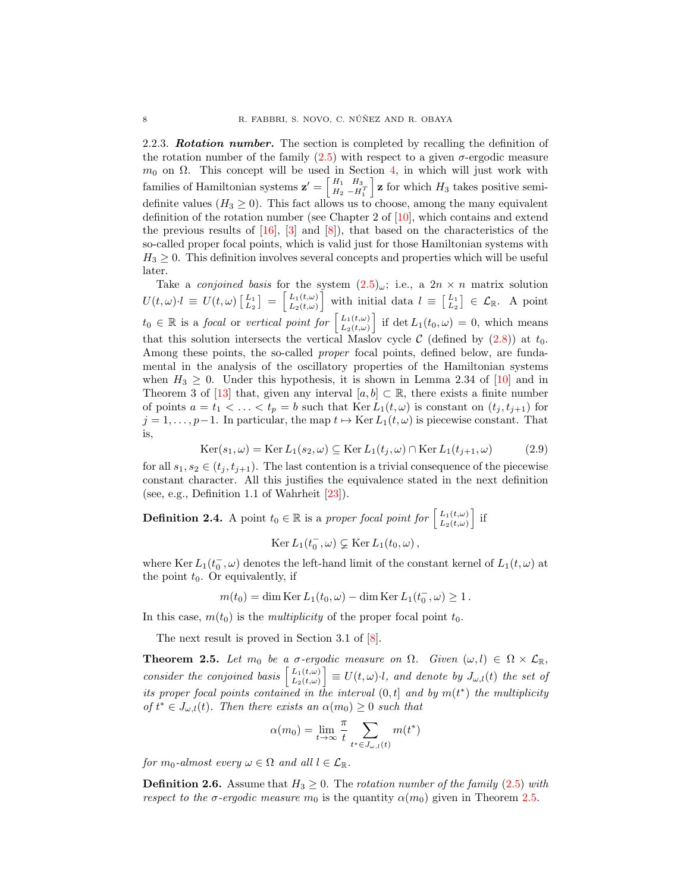2.2.3. **Rotation number.** The section is completed by recalling the definition of the rotation number of the family  $(2.5)$  with respect to a given  $\sigma$ -ergodic measure  $m_0$  on  $\Omega$ . This concept will be used in Section [4,](#page-16-0) in which will just work with families of Hamiltonian systems  $\mathbf{z}' = \begin{bmatrix} H_1 & H_3 \\ H_2 & -H_1^T \end{bmatrix}$  $\mathbf{z}$  for which  $H_3$  takes positive semidefinite values ( $H_3 \geq 0$ ). This fact allows us to choose, among the many equivalent definition of the rotation number (see Chapter 2 of [\[10\]](#page-25-2), which contains and extend the previous results of  $[16]$ ,  $[3]$  and  $[8]$ ), that based on the characteristics of the so-called proper focal points, which is valid just for those Hamiltonian systems with  $H_3 \geq 0$ . This definition involves several concepts and properties which will be useful later.

Take a *conjoined basis* for the system  $(2.5)_{\omega}$  $(2.5)_{\omega}$ ; i.e., a  $2n \times n$  matrix solution  $U(t,\omega)\cdot l \ \equiv \ U(t,\omega) \left[ \begin{smallmatrix} L_1 \ L_2 \end{smallmatrix} \right] \ = \ \left[ \begin{smallmatrix} L_1(t,\omega) \ L_2(t,\omega) \end{smallmatrix} \right]$  $\left[\begin{array}{c}L_1(t,\omega)\\ L_2(t,\omega)\end{array}\right]$  with initial data  $l \equiv \left[\begin{array}{c}L_1\\ L_2\end{array}\right] \in \mathcal{L}_{\mathbb{R}}$ . A point  $t_0 \in \mathbb{R}$  is a focal or vertical point for  $\begin{bmatrix} L_1(t,\omega) \\ L_2(t,\omega) \end{bmatrix}$  $\left[\begin{array}{c}L_1(t,\omega)\\L_2(t,\omega)\end{array}\right]$  if det  $L_1(t_0,\omega)=0$ , which means that this solution intersects the vertical Maslov cycle C (defined by  $(2.8)$ ) at  $t_0$ . Among these points, the so-called *proper* focal points, defined below, are fundamental in the analysis of the oscillatory properties of the Hamiltonian systems when  $H_3 \geq 0$ . Under this hypothesis, it is shown in Lemma 2.34 of [\[10\]](#page-25-2) and in Theorem 3 of [\[13\]](#page-25-9) that, given any interval  $[a, b] \subset \mathbb{R}$ , there exists a finite number of points  $a = t_1 < \ldots < t_p = b$  such that  $\text{Ker } L_1(t, \omega)$  is constant on  $(t_j, t_{j+1})$  for  $j = 1, \ldots, p-1$ . In particular, the map  $t \mapsto \text{Ker } L_1(t, \omega)$  is piecewise constant. That is,

<span id="page-7-1"></span>
$$
\operatorname{Ker}(s_1, \omega) = \operatorname{Ker} L_1(s_2, \omega) \subseteq \operatorname{Ker} L_1(t_j, \omega) \cap \operatorname{Ker} L_1(t_{j+1}, \omega) \tag{2.9}
$$

for all  $s_1, s_2 \in (t_j, t_{j+1})$ . The last contention is a trivial consequence of the piecewise constant character. All this justifies the equivalence stated in the next definition (see, e.g., Definition 1.1 of Wahrheit [\[23\]](#page-25-10)).

<span id="page-7-2"></span>**Definition 2.4.** A point  $t_0 \in \mathbb{R}$  is a proper focal point for  $\begin{bmatrix} L_1(t,\omega) \\ L_2(t,\omega) \end{bmatrix}$  $\left[\begin{smallmatrix}L_1(t,\omega)\\ L_2(t,\omega)\end{smallmatrix}\right]$  if

Ker  $L_1(t_0^-,\omega) \subsetneq \text{Ker } L_1(t_0,\omega)$ ,

where Ker  $L_1(t_0^-,\omega)$  denotes the left-hand limit of the constant kernel of  $L_1(t,\omega)$  at the point  $t_0$ . Or equivalently, if

$$
m(t_0) = \dim \text{Ker } L_1(t_0, \omega) - \dim \text{Ker } L_1(t_0^-, \omega) \ge 1.
$$

In this case,  $m(t_0)$  is the *multiplicity* of the proper focal point  $t_0$ .

The next result is proved in Section 3.1 of [\[8\]](#page-25-5).

<span id="page-7-0"></span>**Theorem 2.5.** Let  $m_0$  be a  $\sigma$ -ergodic measure on  $\Omega$ . Given  $(\omega, l) \in \Omega \times \mathcal{L}_{\mathbb{R}}$ , consider the conjoined basis  $\begin{bmatrix} L_1(t,\omega) \\ L_2(t,\omega) \end{bmatrix}$  $\left[\begin{smallmatrix} L_1(t,\omega) \ L_2(t,\omega) \end{smallmatrix}\right] \equiv U(t,\omega) \cdot l$ , and denote by  $J_{\omega,l}(t)$  the set of its proper focal points contained in the interval  $(0,t]$  and by  $m(t^*)$  the multiplicity of  $t^* \in J_{\omega,l}(t)$ . Then there exists an  $\alpha(m_0) \geq 0$  such that

$$
\alpha(m_0) = \lim_{t \to \infty} \frac{\pi}{t} \sum_{t^* \in J_{\omega, l}(t)} m(t^*)
$$

for  $m_0$ -almost every  $\omega \in \Omega$  and all  $l \in \mathcal{L}_{\mathbb{R}}$ .

**Definition 2.6.** Assume that  $H_3 \geq 0$ . The rotation number of the family [\(2.5\)](#page-5-1) with respect to the  $\sigma$ -ergodic measure  $m_0$  is the quantity  $\alpha(m_0)$  given in Theorem [2.5.](#page-7-0)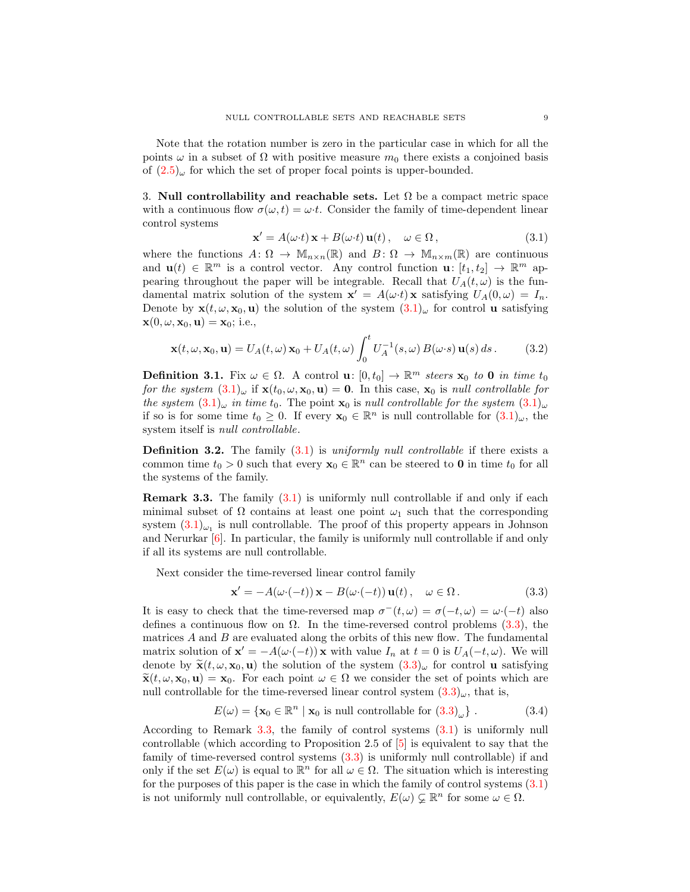Note that the rotation number is zero in the particular case in which for all the points  $\omega$  in a subset of  $\Omega$  with positive measure  $m_0$  there exists a conjoined basis of  $(2.5)_{\omega}$  $(2.5)_{\omega}$  for which the set of proper focal points is upper-bounded.

<span id="page-8-0"></span>3. Null controllability and reachable sets. Let  $\Omega$  be a compact metric space with a continuous flow  $\sigma(\omega, t) = \omega \cdot t$ . Consider the family of time-dependent linear control systems

<span id="page-8-1"></span>
$$
\mathbf{x}' = A(\omega \cdot t) \mathbf{x} + B(\omega \cdot t) \mathbf{u}(t), \quad \omega \in \Omega,
$$
\n(3.1)

where the functions  $A: \Omega \to \mathbb{M}_{n \times n}(\mathbb{R})$  and  $B: \Omega \to \mathbb{M}_{n \times m}(\mathbb{R})$  are continuous and  $\mathbf{u}(t) \in \mathbb{R}^m$  is a control vector. Any control function  $\mathbf{u}: [t_1, t_2] \to \mathbb{R}^m$  appearing throughout the paper will be integrable. Recall that  $U_A(t, \omega)$  is the fundamental matrix solution of the system  $\mathbf{x}' = A(\omega \cdot t) \mathbf{x}$  satisfying  $U_A(0, \omega) = I_n$ . Denote by  $\mathbf{x}(t, \omega, \mathbf{x}_0, \mathbf{u})$  the solution of the system  $(3.1)_{\omega}$  $(3.1)_{\omega}$  for control **u** satisfying  $\mathbf{x}(0, \omega, \mathbf{x}_0, \mathbf{u}) = \mathbf{x}_0$ ; i.e.,

<span id="page-8-4"></span>
$$
\mathbf{x}(t,\omega,\mathbf{x}_0,\mathbf{u}) = U_A(t,\omega)\,\mathbf{x}_0 + U_A(t,\omega)\int_0^t U_A^{-1}(s,\omega)\,B(\omega\cdot s)\,\mathbf{u}(s)\,ds\,. \tag{3.2}
$$

**Definition 3.1.** Fix  $\omega \in \Omega$ . A control **u**:  $[0, t_0] \to \mathbb{R}^m$  steers  $\mathbf{x}_0$  to **0** in time  $t_0$ for the system  $(3.1)_{\omega}$  $(3.1)_{\omega}$  if  $\mathbf{x}(t_0, \omega, \mathbf{x}_0, \mathbf{u}) = \mathbf{0}$ . In this case,  $\mathbf{x}_0$  is null controllable for the system  $(3.1)_{\omega}$  $(3.1)_{\omega}$  in time t<sub>0</sub>. The point  $\mathbf{x}_0$  is null controllable for the system  $(3.1)_{\omega}$ if so is for some time  $t_0 \geq 0$ . If every  $\mathbf{x}_0 \in \mathbb{R}^n$  is null controllable for  $(3.1)_{\omega}$  $(3.1)_{\omega}$ , the system itself is *null controllable*.

**Definition 3.2.** The family  $(3.1)$  is uniformly null controllable if there exists a common time  $t_0 > 0$  such that every  $\mathbf{x}_0 \in \mathbb{R}^n$  can be steered to **0** in time  $t_0$  for all the systems of the family.

<span id="page-8-3"></span>Remark 3.3. The family [\(3.1\)](#page-8-1) is uniformly null controllable if and only if each minimal subset of  $\Omega$  contains at least one point  $\omega_1$  such that the corresponding system  $(3.1)_{\omega_1}$  $(3.1)_{\omega_1}$  is null controllable. The proof of this property appears in Johnson and Nerurkar [\[6\]](#page-24-5). In particular, the family is uniformly null controllable if and only if all its systems are null controllable.

Next consider the time-reversed linear control family

<span id="page-8-2"></span>
$$
\mathbf{x}' = -A(\omega \cdot (-t)) \mathbf{x} - B(\omega \cdot (-t)) \mathbf{u}(t), \quad \omega \in \Omega.
$$
 (3.3)

It is easy to check that the time-reversed map  $\sigma^-(t,\omega) = \sigma(-t,\omega) = \omega \cdot (-t)$  also defines a continuous flow on  $\Omega$ . In the time-reversed control problems [\(3.3\)](#page-8-2), the matrices  $A$  and  $B$  are evaluated along the orbits of this new flow. The fundamental matrix solution of  $\mathbf{x}' = -A(\omega \cdot (-t)) \mathbf{x}$  with value  $I_n$  at  $t = 0$  is  $U_A(-t, \omega)$ . We will denote by  $\tilde{\mathbf{x}}(t,\omega,\mathbf{x}_0,\mathbf{u})$  the solution of the system  $(3.3)_{\omega}$  $(3.3)_{\omega}$  for control **u** satisfying  $\tilde{\mathbf{x}}(t, \omega, \mathbf{x}_0, \mathbf{u}) = \mathbf{x}_0$ . For each point  $\omega \in \Omega$  we consider the set of points which are null controllable for the time-reversed linear control system  $(3.3)_{\omega}$  $(3.3)_{\omega}$ , that is,

<span id="page-8-5"></span>
$$
E(\omega) = \{ \mathbf{x}_0 \in \mathbb{R}^n \mid \mathbf{x}_0 \text{ is null controllable for } (3.3)_{\omega} \} .
$$
 (3.4)

According to Remark [3.3,](#page-8-3) the family of control systems [\(3.1\)](#page-8-1) is uniformly null controllable (which according to Proposition 2.5 of [\[5\]](#page-24-0) is equivalent to say that the family of time-reversed control systems [\(3.3\)](#page-8-2) is uniformly null controllable) if and only if the set  $E(\omega)$  is equal to  $\mathbb{R}^n$  for all  $\omega \in \Omega$ . The situation which is interesting for the purposes of this paper is the case in which the family of control systems [\(3.1\)](#page-8-1) is not uniformly null controllable, or equivalently,  $E(\omega) \subsetneq \mathbb{R}^n$  for some  $\omega \in \Omega$ .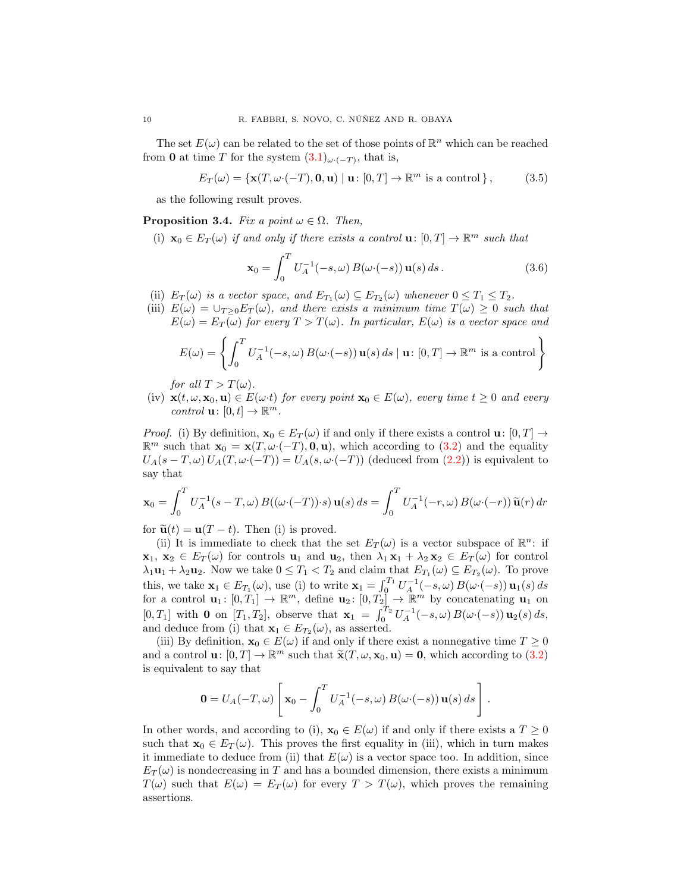The set  $E(\omega)$  can be related to the set of those points of  $\mathbb{R}^n$  which can be reached from 0 at time T for the system  $(3.1)_{\omega \cdot (-T)}$  $(3.1)_{\omega \cdot (-T)}$ , that is,

<span id="page-9-1"></span>
$$
E_T(\omega) = \{ \mathbf{x}(T, \omega \cdot (-T), \mathbf{0}, \mathbf{u}) \mid \mathbf{u} \colon [0, T] \to \mathbb{R}^m \text{ is a control } \},\tag{3.5}
$$

as the following result proves.

<span id="page-9-0"></span>**Proposition 3.4.** Fix a point  $\omega \in \Omega$ . Then,

(i)  $\mathbf{x}_0 \in E_T(\omega)$  if and only if there exists a control  $\mathbf{u}: [0,T] \to \mathbb{R}^m$  such that

$$
\mathbf{x}_0 = \int_0^T U_A^{-1}(-s,\omega) B(\omega \cdot (-s)) \, \mathbf{u}(s) \, ds \,. \tag{3.6}
$$

- (ii)  $E_T(\omega)$  is a vector space, and  $E_{T_1}(\omega) \subseteq E_{T_2}(\omega)$  whenever  $0 \le T_1 \le T_2$ .
- (iii)  $E(\omega) = \bigcup_{T \geq 0} E_T(\omega)$ , and there exists a minimum time  $T(\omega) \geq 0$  such that  $E(\omega) = E_T(\omega)$  for every  $T > T(\omega)$ . In particular,  $E(\omega)$  is a vector space and

$$
E(\omega) = \left\{ \int_0^T U_A^{-1}(-s, \omega) B(\omega \cdot (-s)) \mathbf{u}(s) ds \mid \mathbf{u} \colon [0, T] \to \mathbb{R}^m \text{ is a control} \right\}
$$

for all  $T > T(\omega)$ .

(iv)  $\mathbf{x}(t, \omega, \mathbf{x}_0, \mathbf{u}) \in E(\omega t)$  for every point  $\mathbf{x}_0 \in E(\omega)$ , every time  $t \geq 0$  and every control  $\mathbf{u}: [0, t] \to \mathbb{R}^m$ .

*Proof.* (i) By definition,  $\mathbf{x}_0 \in E_T(\omega)$  if and only if there exists a control  $\mathbf{u}: [0, T] \to$  $\mathbb{R}^m$  such that  $\mathbf{x}_0 = \mathbf{x}(T, \omega \cdot (-T), \mathbf{0}, \mathbf{u})$ , which according to [\(3.2\)](#page-8-4) and the equality  $U_A(s-T,\omega)U_A(T,\omega\cdot(-T)) = U_A(s,\omega\cdot(-T))$  (deduced from [\(2.2\)](#page-4-1)) is equivalent to say that

$$
\mathbf{x}_0 = \int_0^T U_A^{-1}(s - T, \omega) B((\omega \cdot (-T)) \cdot s) \mathbf{u}(s) ds = \int_0^T U_A^{-1}(-r, \omega) B(\omega \cdot (-r)) \widetilde{\mathbf{u}}(r) dr
$$

for  $\tilde{\mathbf{u}}(t) = \mathbf{u}(T - t)$ . Then (i) is proved.

(ii) It is immediate to check that the set  $E_T(\omega)$  is a vector subspace of  $\mathbb{R}^n$ : if  $\mathbf{x}_1, \mathbf{x}_2 \in E_T(\omega)$  for controls  $\mathbf{u}_1$  and  $\mathbf{u}_2$ , then  $\lambda_1 \mathbf{x}_1 + \lambda_2 \mathbf{x}_2 \in E_T(\omega)$  for control  $\lambda_1 \mathbf{u}_1 + \lambda_2 \mathbf{u}_2$ . Now we take  $0 \leq T_1 < T_2$  and claim that  $E_{T_1}(\omega) \subseteq E_{T_2}(\omega)$ . To prove this, we take  $\mathbf{x}_1 \in E_{T_1}(\omega)$ , use (i) to write  $\mathbf{x}_1 = \int_0^{T_1} U_A^{-1}(-s, \omega) B(\omega \cdot (-s)) \mathbf{u}_1(s) ds$ for a control  $\mathbf{u}_1: [0,T_1] \to \mathbb{R}^m$ , define  $\mathbf{u}_2: [0,T_2] \to \mathbb{R}^m$  by concatenating  $\mathbf{u}_1$  on [0, T<sub>1</sub>] with **0** on [T<sub>1</sub>, T<sub>2</sub>], observe that  $\mathbf{x}_1 = \int_0^{T_2} U_A^{-1}(-s,\omega) B(\omega \cdot (-s)) \mathbf{u}_2(s) ds$ , and deduce from (i) that  $\mathbf{x}_1 \in E_{T_2}(\omega)$ , as asserted.

(iii) By definition,  $\mathbf{x}_0 \in E(\omega)$  if and only if there exist a nonnegative time  $T \geq 0$ and a control  $\mathbf{u}: [0, T] \to \mathbb{R}^m$  such that  $\tilde{\mathbf{x}}(T, \omega, \mathbf{x}_0, \mathbf{u}) = \mathbf{0}$ , which according to [\(3.2\)](#page-8-4) is equivalent to say that

$$
\mathbf{0} = U_A(-T,\omega) \left[ \mathbf{x}_0 - \int_0^T U_A^{-1}(-s,\omega) B(\omega \cdot (-s)) \, \mathbf{u}(s) \, ds \right].
$$

In other words, and according to (i),  $\mathbf{x}_0 \in E(\omega)$  if and only if there exists a  $T \geq 0$ such that  $\mathbf{x}_0 \in E_T(\omega)$ . This proves the first equality in (iii), which in turn makes it immediate to deduce from (ii) that  $E(\omega)$  is a vector space too. In addition, since  $E_T(\omega)$  is nondecreasing in T and has a bounded dimension, there exists a minimum  $T(\omega)$  such that  $E(\omega) = E_T(\omega)$  for every  $T > T(\omega)$ , which proves the remaining assertions.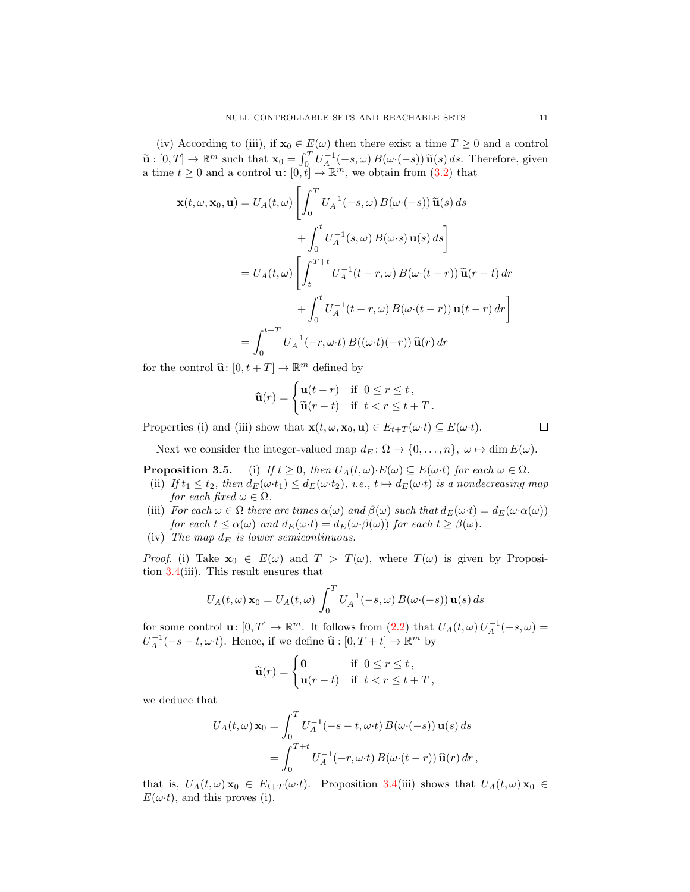(iv) According to (iii), if  $\mathbf{x}_0 \in E(\omega)$  then there exist a time  $T \geq 0$  and a control  $\widetilde{\mathbf{u}}:[0,T] \to \mathbb{R}^m$  such that  $\mathbf{x}_0 = \int_0^T U_A^{-1}(-s,\omega) B(\omega \cdot (-s)) \widetilde{\mathbf{u}}(s) ds$ . Therefore, given a time  $t \geq 0$  and a control  $\mathbf{u}: [0,t] \to \mathbb{R}^m$ , we obtain from  $(3.2)$  that

$$
\mathbf{x}(t,\omega,\mathbf{x}_0,\mathbf{u}) = U_A(t,\omega) \left[ \int_0^T U_A^{-1}(-s,\omega) B(\omega \cdot (-s)) \widetilde{\mathbf{u}}(s) ds \n+ \int_0^t U_A^{-1}(s,\omega) B(\omega \cdot s) \mathbf{u}(s) ds \right]
$$
  
\n
$$
= U_A(t,\omega) \left[ \int_t^{T+t} U_A^{-1}(t-r,\omega) B(\omega \cdot (t-r)) \widetilde{\mathbf{u}}(r-t) dr \n+ \int_0^t U_A^{-1}(t-r,\omega) B(\omega \cdot (t-r)) \mathbf{u}(t-r) dr \right]
$$
  
\n
$$
= \int_0^{t+T} U_A^{-1}(-r,\omega \cdot t) B((\omega \cdot t)(-r)) \widehat{\mathbf{u}}(r) dr
$$

for the control  $\widehat{\mathbf{u}}$ :  $[0, t + T] \to \mathbb{R}^m$  defined by

$$
\widehat{\mathbf{u}}(r) = \begin{cases} \mathbf{u}(t-r) & \text{if } 0 \le r \le t, \\ \widetilde{\mathbf{u}}(r-t) & \text{if } t < r \le t + T. \end{cases}
$$

Properties (i) and (iii) show that  $\mathbf{x}(t, \omega, \mathbf{x}_0, \mathbf{u}) \in E_{t+T}(\omega \cdot t) \subseteq E(\omega \cdot t)$ .

 $\Box$ 

Next we consider the integer-valued map  $d_E \colon \Omega \to \{0, \ldots, n\}, \ \omega \mapsto \dim E(\omega)$ .

<span id="page-10-0"></span>**Proposition 3.5.** (i) If  $t \geq 0$ , then  $U_A(t, \omega) \cdot E(\omega) \subseteq E(\omega \cdot t)$  for each  $\omega \in \Omega$ .

- (ii) If  $t_1 \le t_2$ , then  $d_E(\omega \cdot t_1) \le d_E(\omega \cdot t_2)$ , i.e.,  $t \mapsto d_E(\omega \cdot t)$  is a nondecreasing map for each fixed  $\omega \in \Omega$ .
- (iii) For each  $\omega \in \Omega$  there are times  $\alpha(\omega)$  and  $\beta(\omega)$  such that  $d_E(\omega \cdot t) = d_E(\omega \cdot \alpha(\omega))$ for each  $t \leq \alpha(\omega)$  and  $d_E(\omega \cdot t) = d_E(\omega \cdot \beta(\omega))$  for each  $t \geq \beta(\omega)$ .
- (iv) The map  $d_E$  is lower semicontinuous.

*Proof.* (i) Take  $x_0 \in E(\omega)$  and  $T > T(\omega)$ , where  $T(\omega)$  is given by Proposition [3.4\(](#page-9-0)iii). This result ensures that

$$
U_A(t,\omega)\mathbf{x}_0 = U_A(t,\omega)\int_0^T U_A^{-1}(-s,\omega) B(\omega \cdot (-s))\mathbf{u}(s) ds
$$

for some control  $\mathbf{u}: [0,T] \to \mathbb{R}^m$ . It follows from  $(2.2)$  that  $U_A(t,\omega)U_A^{-1}(-s,\omega) =$  $U_A^{-1}(-s-t,\omega \cdot t)$ . Hence, if we define  $\widehat{\mathbf{u}} : [0, T+t] \to \mathbb{R}^m$  by

$$
\widehat{\mathbf{u}}(r) = \begin{cases} \mathbf{0} & \text{if } 0 \le r \le t, \\ \mathbf{u}(r-t) & \text{if } t < r \le t + T, \end{cases}
$$

we deduce that

$$
U_A(t,\omega) \mathbf{x}_0 = \int_0^T U_A^{-1}(-s-t,\omega \cdot t) B(\omega \cdot (-s)) \mathbf{u}(s) ds
$$
  
= 
$$
\int_0^{T+t} U_A^{-1}(-r,\omega \cdot t) B(\omega \cdot (t-r)) \widehat{\mathbf{u}}(r) dr,
$$

that is,  $U_A(t, \omega) \mathbf{x}_0 \in E_{t+T}(\omega \cdot t)$ . Proposition [3.4\(](#page-9-0)iii) shows that  $U_A(t, \omega) \mathbf{x}_0 \in$  $E(\omega t)$ , and this proves (i).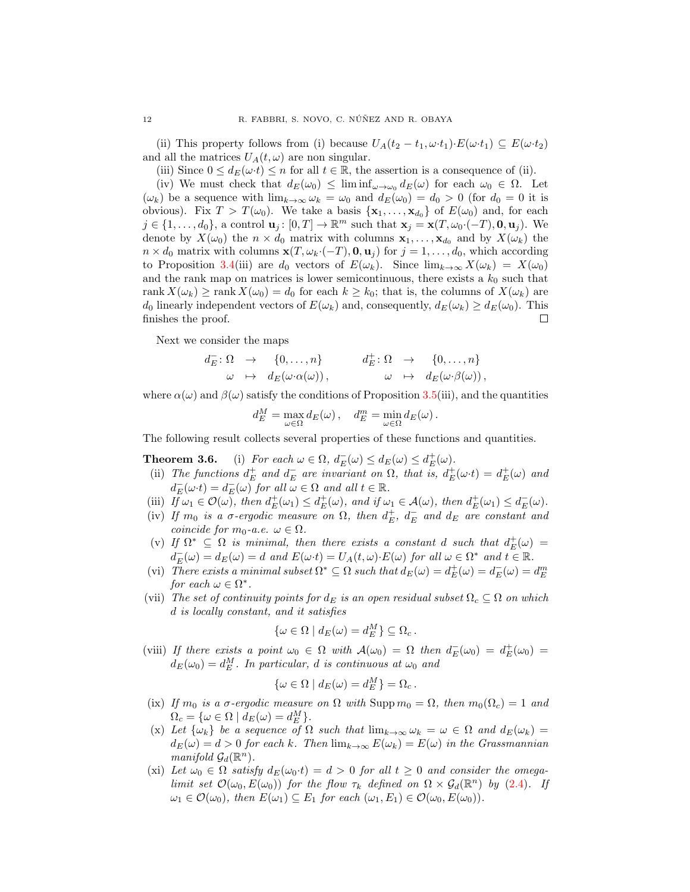(ii) This property follows from (i) because  $U_A(t_2-t_1,\omega \cdot t_1) \cdot E(\omega \cdot t_1) \subseteq E(\omega \cdot t_2)$ and all the matrices  $U_A(t, \omega)$  are non singular.

(iii) Since  $0 \le d_E(\omega \cdot t) \le n$  for all  $t \in \mathbb{R}$ , the assertion is a consequence of (ii).

(iv) We must check that  $d_E(\omega_0) \leq \liminf_{\omega \to \omega_0} d_E(\omega)$  for each  $\omega_0 \in \Omega$ . Let  $(\omega_k)$  be a sequence with  $\lim_{k\to\infty} \omega_k = \omega_0$  and  $d_E(\omega_0) = d_0 > 0$  (for  $d_0 = 0$  it is obvious). Fix  $T > T(\omega_0)$ . We take a basis  $\{x_1, \ldots, x_{d_0}\}$  of  $E(\omega_0)$  and, for each  $j \in \{1, \ldots, d_0\}$ , a control  $\mathbf{u}_j : [0, T] \to \mathbb{R}^m$  such that  $\mathbf{x}_j = \mathbf{x}(T, \omega_0 \cdot (-T), \mathbf{0}, \mathbf{u}_j)$ . We denote by  $X(\omega_0)$  the  $n \times d_0$  matrix with columns  $\mathbf{x}_1, \ldots, \mathbf{x}_{d_0}$  and by  $X(\omega_k)$  the  $n \times d_0$  matrix with columns  $\mathbf{x}(T, \omega_k \cdot (-T), \mathbf{0}, \mathbf{u}_j)$  for  $j = 1, \ldots, d_0$ , which according to Proposition [3.4\(](#page-9-0)iii) are  $d_0$  vectors of  $E(\omega_k)$ . Since  $\lim_{k\to\infty} X(\omega_k) = X(\omega_0)$ and the rank map on matrices is lower semicontinuous, there exists a  $k_0$  such that rank  $X(\omega_k) \ge \text{rank } X(\omega_0) = d_0$  for each  $k \ge k_0$ ; that is, the columns of  $X(\omega_k)$  are  $d_0$  linearly independent vectors of  $E(\omega_k)$  and, consequently,  $d_E(\omega_k) \geq d_E(\omega_0)$ . This finishes the proof. П

Next we consider the maps

$$
d_E^-: \Omega \to \{0, \ldots, n\} \t d_E^+: \Omega \to \{0, \ldots, n\} \n\omega \mapsto d_E(\omega \cdot \alpha(\omega)), \t \omega \mapsto d_E(\omega \cdot \beta(\omega)),
$$

where  $\alpha(\omega)$  and  $\beta(\omega)$  satisfy the conditions of Proposition [3.5\(](#page-10-0)iii), and the quantities

$$
d_E^M = \max_{\omega \in \Omega} d_E(\omega), \quad d_E^m = \min_{\omega \in \Omega} d_E(\omega).
$$

The following result collects several properties of these functions and quantities.

<span id="page-11-0"></span>**Theorem 3.6.** (i) For each  $\omega \in \Omega$ ,  $d_E^-(\omega) \leq d_E(\omega) \leq d_E^+(\omega)$ .

- **EXECUTE: EXECUTE:**  $a_E(\omega) \le a_E(\omega) \le a_E(\omega)$ .<br>
(ii) The functions  $d_E^{\perp}$  and  $d_E^-$  are invariant on  $\Omega$ , that is,  $d_E^{\perp}(\omega \cdot t) = d_E^{\perp}(\omega)$  and  $d_E^-(\omega \cdot t) = d_E^-(\omega)$  for all  $\omega \in \Omega$  and all  $t \in \mathbb{R}$ .
- (iii)  $I_f^{\overline{t}} \omega_1 \in \mathcal{O}(\omega)$ , then  $d_E^{\pm}(\omega_1) \leq d_E^{\pm}(\omega)$ , and if  $\omega_1 \in \mathcal{A}(\omega)$ , then  $d_E^{\pm}(\omega_1) \leq d_E^{\pm}(\omega)$ .
- (iv) If  $m_0$  is a  $\sigma$ -ergodic measure on  $\Omega$ , then  $d_E^+$ ,  $d_E^-$  and  $d_E$  are constant and coincide for  $m_0$ -a.e.  $\omega \in \Omega$ .
- (v) If  $\Omega^* \subseteq \Omega$  is minimal, then there exists a constant d such that  $d^+_E(\omega) =$  $d_E^-(\omega) = d_E(\omega) = d$  and  $E(\omega \cdot t) = U_A(t, \omega) \cdot E(\omega)$  for all  $\omega \in \Omega^*$  and  $t \in \mathbb{R}$ .
- (vi) There exists a minimal subset  $\Omega^* \subseteq \Omega$  such that  $d_E(\omega) = d_E^+(\omega) = d_E^-(\omega) = d_E^m$ for each  $\omega \in \Omega^*$ .
- (vii) The set of continuity points for  $d_E$  is an open residual subset  $\Omega_c \subseteq \Omega$  on which d is locally constant, and it satisfies

$$
\{\omega \in \Omega \mid d_E(\omega) = d_E^M\} \subseteq \Omega_c.
$$

(viii) If there exists a point  $\omega_0 \in \Omega$  with  $\mathcal{A}(\omega_0) = \Omega$  then  $d_E^-(\omega_0) = d_E^+(\omega_0) =$  $d_E(\omega_0) = d_E^M$ . In particular, d is continuous at  $\omega_0$  and

$$
\{\omega \in \Omega \mid d_E(\omega) = d_E^M\} = \Omega_c.
$$

- (ix) If  $m_0$  is a  $\sigma$ -ergodic measure on  $\Omega$  with Supp  $m_0 = \Omega$ , then  $m_0(\Omega_c) = 1$  and  $\Omega_c = \{ \omega \in \Omega \mid d_E(\omega) = d_E^M \}.$
- (x) Let  $\{\omega_k\}$  be a sequence of  $\Omega$  such that  $\lim_{k\to\infty} \omega_k = \omega \in \Omega$  and  $d_E(\omega_k) =$  $d_E(\omega) = d > 0$  for each k. Then  $\lim_{k \to \infty} E(\omega_k) = E(\omega)$  in the Grassmannian manifold  $\mathcal{G}_d(\mathbb{R}^n)$ .
- (xi) Let  $\omega_0 \in \Omega$  satisfy  $d_E(\omega_0 \cdot t) = d > 0$  for all  $t \geq 0$  and consider the omegalimit set  $\mathcal{O}(\omega_0, E(\omega_0))$  for the flow  $\tau_k$  defined on  $\Omega \times \mathcal{G}_d(\mathbb{R}^n)$  by [\(2.4\)](#page-5-3). If  $\omega_1 \in \mathcal{O}(\omega_0)$ , then  $E(\omega_1) \subseteq E_1$  for each  $(\omega_1, E_1) \in \mathcal{O}(\omega_0, E(\omega_0))$ .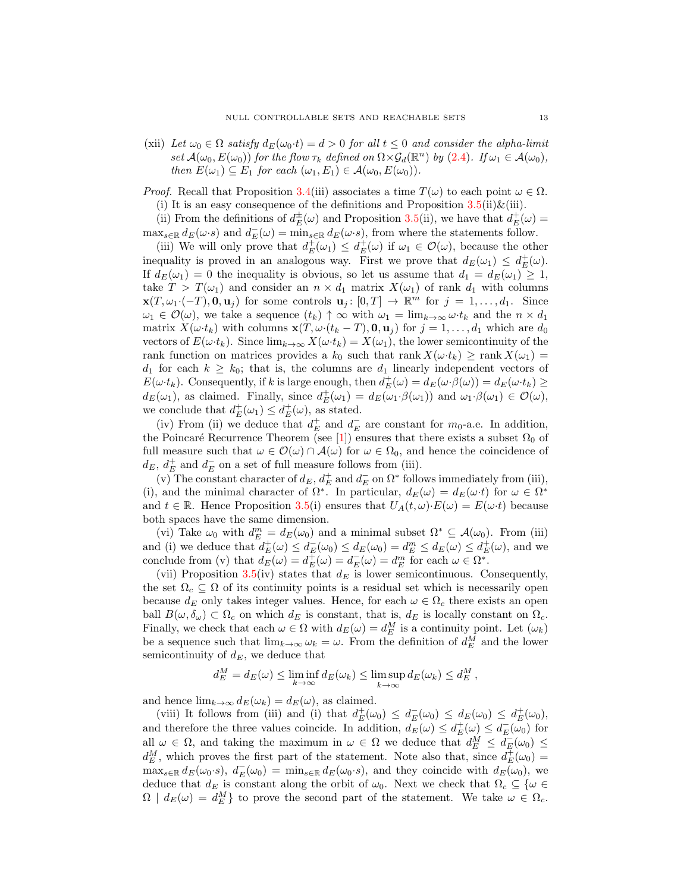(xii) Let  $\omega_0 \in \Omega$  satisfy  $d_E(\omega_0 \cdot t) = d > 0$  for all  $t \leq 0$  and consider the alpha-limit set  $\mathcal{A}(\omega_0, E(\omega_0))$  for the flow  $\tau_k$  defined on  $\Omega \times \mathcal{G}_d(\mathbb{R}^n)$  by  $(2.4)$ . If  $\omega_1 \in \mathcal{A}(\omega_0)$ , then  $E(\omega_1) \subseteq E_1$  for each  $(\omega_1, E_1) \in \mathcal{A}(\omega_0, E(\omega_0))$ .

*Proof.* Recall that Proposition [3.4\(](#page-9-0)iii) associates a time  $T(\omega)$  to each point  $\omega \in \Omega$ . (i) It is an easy consequence of the definitions and Proposition  $3.5(ii) \& (iii)$  $3.5(ii) \& (iii)$ .

(ii) From the definitions of  $d_E^{\pm}(\omega)$  and Proposition [3.5\(](#page-10-0)ii), we have that  $d_E^{\pm}(\omega)$  =

 $\max_{s \in \mathbb{R}} d_E(\omega \cdot s)$  and  $d_E(\omega) = \min_{s \in \mathbb{R}} d_E(\omega \cdot s)$ , from where the statements follow.

(iii) We will only prove that  $d_E^+(\omega_1) \leq d_E^+(\omega)$  if  $\omega_1 \in \mathcal{O}(\omega)$ , because the other inequality is proved in an analogous way. First we prove that  $d_E(\omega_1) \leq d_E^+(\omega)$ . If  $d_E(\omega_1) = 0$  the inequality is obvious, so let us assume that  $d_1 = d_E(\omega_1) \geq 1$ , take  $T > T(\omega_1)$  and consider an  $n \times d_1$  matrix  $X(\omega_1)$  of rank  $d_1$  with columns  $\mathbf{x}(T, \omega_1\cdot(-T), \mathbf{0}, \mathbf{u}_j)$  for some controls  $\mathbf{u}_j : [0, T] \to \mathbb{R}^m$  for  $j = 1, \ldots, d_1$ . Since  $\omega_1 \in \mathcal{O}(\omega)$ , we take a sequence  $(t_k) \uparrow \infty$  with  $\omega_1 = \lim_{k \to \infty} \omega \cdot t_k$  and the  $n \times d_1$ matrix  $X(\omega \cdot t_k)$  with columns  $\mathbf{x}(T, \omega \cdot (t_k - T), \mathbf{0}, \mathbf{u}_j)$  for  $j = 1, \ldots, d_1$  which are  $d_0$ vectors of  $E(\omega \cdot t_k)$ . Since  $\lim_{k\to\infty} X(\omega \cdot t_k) = X(\omega_1)$ , the lower semicontinuity of the rank function on matrices provides a  $k_0$  such that rank  $X(\omega \cdot t_k) \geq \text{rank } X(\omega_1) =$  $d_1$  for each  $k \geq k_0$ ; that is, the columns are  $d_1$  linearly independent vectors of  $E(\omega \cdot t_k)$ . Consequently, if k is large enough, then  $d_E^+(\omega) = d_E(\omega \cdot \beta(\omega)) = d_E(\omega \cdot t_k) \ge$  $d_E(\omega_1)$ , as claimed. Finally, since  $d_E^+(\omega_1) = d_E(\omega_1 \cdot \beta(\omega_1))$  and  $\omega_1 \cdot \beta(\omega_1) \in \mathcal{O}(\omega)$ , we conclude that  $d_E^+(\omega_1) \leq d_E^+(\omega)$ , as stated.

(iv) From (ii) we deduce that  $d_E^+$  and  $d_E^-$  are constant for  $m_0$ -a.e. In addition, the Poincaré Recurrence Theorem (see [\[1\]](#page-24-3)) ensures that there exists a subset  $\Omega_0$  of full measure such that  $\omega \in \mathcal{O}(\omega) \cap \mathcal{A}(\omega)$  for  $\omega \in \Omega_0$ , and hence the coincidence of  $d_E,\,d_E^+$  and  $d_E^-$  on a set of full measure follows from (iii).

(v) The constant character of  $d_E$ ,  $d_E^+$  and  $d_E^-$  on  $\Omega^*$  follows immediately from (iii), (i), and the minimal character of  $\Omega^*$ . In particular,  $d_E(\omega) = d_E(\omega \cdot t)$  for  $\omega \in \Omega^*$ and  $t \in \mathbb{R}$ . Hence Proposition [3.5\(](#page-10-0)i) ensures that  $U_A(t, \omega) \cdot E(\omega) = E(\omega \cdot t)$  because both spaces have the same dimension.

(vi) Take  $\omega_0$  with  $d_E^m = d_E(\omega_0)$  and a minimal subset  $\Omega^* \subseteq \mathcal{A}(\omega_0)$ . From (iii) and (i) we deduce that  $d_E^+(\omega) \leq d_E^-(\omega_0) \leq d_E(\omega_0) = d_E^m \leq d_E(\omega) \leq d_E^+(\omega)$ , and we conclude from (v) that  $d_E(\omega) = d_E^+(\omega) = d_E^-(\omega) = d_E^m$  for each  $\omega \in \Omega^*$ .

(vii) Proposition [3.5\(](#page-10-0)iv) states that  $d_E$  is lower semicontinuous. Consequently, the set  $\Omega_c \subseteq \Omega$  of its continuity points is a residual set which is necessarily open because  $d_E$  only takes integer values. Hence, for each  $\omega \in \Omega_c$  there exists an open ball  $B(\omega, \delta_{\omega}) \subset \Omega_c$  on which  $d_E$  is constant, that is,  $d_E$  is locally constant on  $\Omega_c$ . Finally, we check that each  $\omega \in \Omega$  with  $d_E(\omega) = d_E^M$  is a continuity point. Let  $(\omega_k)$ be a sequence such that  $\lim_{k\to\infty} \omega_k = \omega$ . From the definition of  $d_E^M$  and the lower semicontinuity of  $d_E$ , we deduce that

$$
d_E^M = d_E(\omega) \le \liminf_{k \to \infty} d_E(\omega_k) \le \limsup_{k \to \infty} d_E(\omega_k) \le d_E^M,
$$

and hence  $\lim_{k\to\infty} d_E(\omega_k) = d_E(\omega)$ , as claimed.

(viii) It follows from (iii) and (i) that  $d_E^+(\omega_0) \leq d_E^-(\omega_0) \leq d_E(\omega_0) \leq d_E^+(\omega_0)$ , and therefore the three values coincide. In addition,  $d_E(\omega) \leq d_E^+(\omega) \leq d_E^-(\omega_0)$  for all  $\omega \in \Omega$ , and taking the maximum in  $\omega \in \Omega$  we deduce that  $d_E^M \leq d_E^-(\omega_0) \leq$  $d_E^M$ , which proves the first part of the statement. Note also that, since  $d_E^{\pm}(\omega_0)$  =  $\max_{s \in \mathbb{R}} d_E(\omega_0 \cdot s), d_E(\omega_0) = \min_{s \in \mathbb{R}} d_E(\omega_0 \cdot s)$ , and they coincide with  $d_E(\omega_0)$ , we deduce that  $d_E$  is constant along the orbit of  $\omega_0$ . Next we check that  $\Omega_c \subseteq {\omega \in \mathbb{R}}$  $\Omega$  |  $d_E(\omega) = d_E^M$ } to prove the second part of the statement. We take  $\omega \in \Omega_c$ .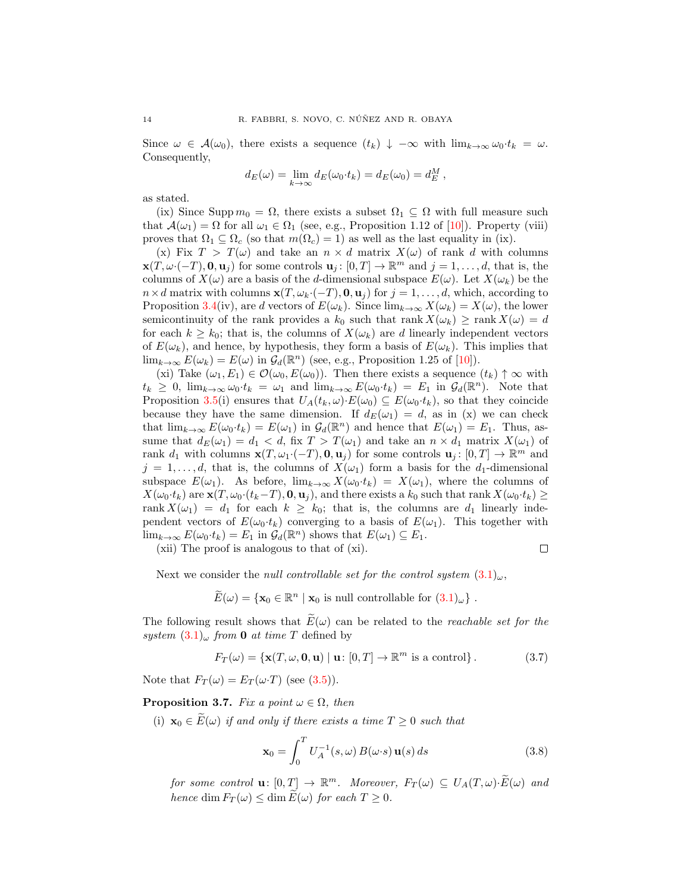Since  $\omega \in \mathcal{A}(\omega_0)$ , there exists a sequence  $(t_k) \downarrow -\infty$  with  $\lim_{k\to\infty} \omega_0 \cdot t_k = \omega$ . Consequently,

$$
d_E(\omega) = \lim_{k \to \infty} d_E(\omega_0 \cdot t_k) = d_E(\omega_0) = d_E^M,
$$

as stated.

(ix) Since Supp  $m_0 = \Omega$ , there exists a subset  $\Omega_1 \subseteq \Omega$  with full measure such that  $\mathcal{A}(\omega_1) = \Omega$  for all  $\omega_1 \in \Omega_1$  (see, e.g., Proposition 1.12 of [\[10\]](#page-25-2)). Property (viii) proves that  $\Omega_1 \subseteq \Omega_c$  (so that  $m(\Omega_c) = 1$ ) as well as the last equality in (ix).

(x) Fix  $T > T(\omega)$  and take an  $n \times d$  matrix  $X(\omega)$  of rank d with columns  $\mathbf{x}(T, \omega \cdot (-T), \mathbf{0}, \mathbf{u}_j)$  for some controls  $\mathbf{u}_j : [0, T] \to \mathbb{R}^m$  and  $j = 1, \ldots, d$ , that is, the columns of  $X(\omega)$  are a basis of the d-dimensional subspace  $E(\omega)$ . Let  $X(\omega_k)$  be the  $n \times d$  matrix with columns  $\mathbf{x}(T, \omega_k \cdot (-T), \mathbf{0}, \mathbf{u}_i)$  for  $j = 1, \ldots, d$ , which, according to Proposition [3.4\(](#page-9-0)iv), are d vectors of  $E(\omega_k)$ . Since  $\lim_{k\to\infty} X(\omega_k) = X(\omega)$ , the lower semicontinuity of the rank provides a  $k_0$  such that rank  $X(\omega_k) \geq \text{rank } X(\omega) = d$ for each  $k \geq k_0$ ; that is, the columns of  $X(\omega_k)$  are d linearly independent vectors of  $E(\omega_k)$ , and hence, by hypothesis, they form a basis of  $E(\omega_k)$ . This implies that  $\lim_{k\to\infty} E(\omega_k) = E(\omega)$  in  $\mathcal{G}_d(\mathbb{R}^n)$  (see, e.g., Proposition 1.25 of [\[10\]](#page-25-2)).

(xi) Take  $(\omega_1, E_1) \in \mathcal{O}(\omega_0, E(\omega_0))$ . Then there exists a sequence  $(t_k) \uparrow \infty$  with  $t_k \geq 0$ ,  $\lim_{k \to \infty} \omega_0 \cdot t_k = \omega_1$  and  $\lim_{k \to \infty} E(\omega_0 \cdot t_k) = E_1$  in  $\mathcal{G}_d(\mathbb{R}^n)$ . Note that Proposition [3.5\(](#page-10-0)i) ensures that  $U_A(t_k, \omega) \cdot E(\omega_0) \subseteq E(\omega_0 \cdot t_k)$ , so that they coincide because they have the same dimension. If  $d_E(\omega_1) = d$ , as in (x) we can check that  $\lim_{k\to\infty} E(\omega_0 \cdot t_k) = E(\omega_1)$  in  $\mathcal{G}_d(\mathbb{R}^n)$  and hence that  $E(\omega_1) = E_1$ . Thus, assume that  $d_E(\omega_1) = d_1 < d$ , fix  $T > T(\omega_1)$  and take an  $n \times d_1$  matrix  $X(\omega_1)$  of rank  $d_1$  with columns  $\mathbf{x}(T, \omega_1 \cdot (-T), 0, \mathbf{u}_j)$  for some controls  $\mathbf{u}_j : [0, T] \to \mathbb{R}^m$  and  $j = 1, \ldots, d$ , that is, the columns of  $X(\omega_1)$  form a basis for the  $d_1$ -dimensional subspace  $E(\omega_1)$ . As before,  $\lim_{k\to\infty} X(\omega_0 \cdot t_k) = X(\omega_1)$ , where the columns of  $X(\omega_0 \cdot t_k)$  are  $\mathbf{x}(T, \omega_0 \cdot (t_k-T), \mathbf{0}, \mathbf{u}_j)$ , and there exists a  $k_0$  such that rank  $X(\omega_0 \cdot t_k) \geq$ rank  $X(\omega_1) = d_1$  for each  $k \geq k_0$ ; that is, the columns are  $d_1$  linearly independent vectors of  $E(\omega_0 \cdot t_k)$  converging to a basis of  $E(\omega_1)$ . This together with  $\lim_{k\to\infty} E(\omega_0 \cdot t_k) = E_1$  in  $\mathcal{G}_d(\mathbb{R}^n)$  shows that  $E(\omega_1) \subseteq E_1$ .

(xii) The proof is analogous to that of (xi).

 $\Box$ 

Next we consider the *null controllable set for the control system*  $(3.1)_{\omega}$  $(3.1)_{\omega}$ ,

$$
\widetilde{E}(\omega) = \{ \mathbf{x}_0 \in \mathbb{R}^n \mid \mathbf{x}_0 \text{ is null controllable for } (3.1)_{\omega} \} .
$$

The following result shows that  $\widetilde{E}(\omega)$  can be related to the *reachable set for the* system  $(3.1)_{\omega}$  $(3.1)_{\omega}$  from 0 at time T defined by

<span id="page-13-2"></span>
$$
F_T(\omega) = \{ \mathbf{x}(T, \omega, \mathbf{0}, \mathbf{u}) \mid \mathbf{u} \colon [0, T] \to \mathbb{R}^m \text{ is a control} \}. \tag{3.7}
$$

Note that  $F_T(\omega) = E_T(\omega \cdot T)$  (see [\(3.5\)](#page-9-1)).

<span id="page-13-1"></span>**Proposition 3.7.** Fix a point  $\omega \in \Omega$ , then

(i)  $\mathbf{x}_0 \in \overline{E}(\omega)$  if and only if there exists a time  $T \geq 0$  such that

<span id="page-13-0"></span>
$$
\mathbf{x}_0 = \int_0^T U_A^{-1}(s,\omega) B(\omega \cdot s) \mathbf{u}(s) ds \qquad (3.8)
$$

for some control  $\mathbf{u}: [0, T] \to \mathbb{R}^m$ . Moreover,  $F_T(\omega) \subseteq U_A(T, \omega) \cdot \widetilde{E}(\omega)$  and hence dim  $F_T(\omega) \leq \dim E(\omega)$  for each  $T \geq 0$ .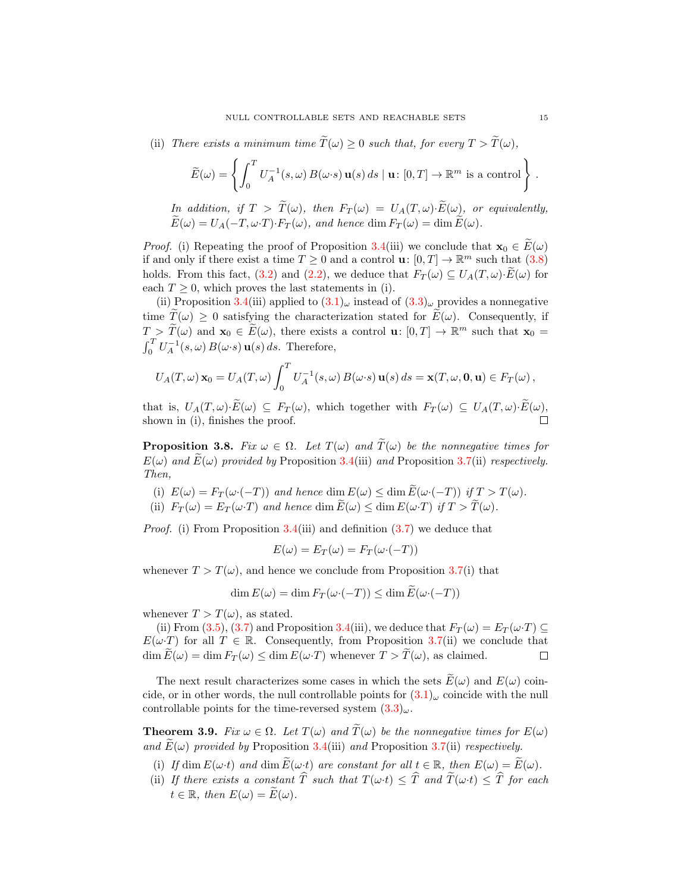(ii) There exists a minimum time  $\widetilde{T}(\omega) \geq 0$  such that, for every  $T > \widetilde{T}(\omega)$ ,

$$
\widetilde{E}(\omega) = \left\{ \int_0^T U_A^{-1}(s,\omega) B(\omega \cdot s) \mathbf{u}(s) ds \mid \mathbf{u} \colon [0,T] \to \mathbb{R}^m \text{ is a control} \right\}.
$$

In addition, if  $T > \widetilde{T}(\omega)$ , then  $F_T(\omega) = U_A(T, \omega) \cdot \widetilde{E}(\omega)$ , or equivalently,  $\widetilde{E}(\omega) = U_A(-T, \omega \cdot T) \cdot F_T(\omega)$ , and hence dim  $F_T(\omega) = \dim \widetilde{E}(\omega)$ .

*Proof.* (i) Repeating the proof of Proposition [3.4\(](#page-9-0)iii) we conclude that  $\mathbf{x}_0 \in \widetilde{E}(\omega)$ if and only if there exist a time  $T \geq 0$  and a control  $\mathbf{u}: [0, T] \to \mathbb{R}^m$  such that  $(3.8)$ holds. From this fact, [\(3.2\)](#page-8-4) and [\(2.2\)](#page-4-1), we deduce that  $F_T(\omega) \subseteq U_A(T, \omega) \cdot \widetilde{E}(\omega)$  for each  $T \geq 0$ , which proves the last statements in (i).

(ii) Proposition [3.4\(](#page-9-0)iii) applied to  $(3.1)_{\omega}$  $(3.1)_{\omega}$  instead of  $(3.3)_{\omega}$  $(3.3)_{\omega}$  provides a nonnegative time  $\tilde{T}(\omega) \geq 0$  satisfying the characterization stated for  $E(\omega)$ . Consequently, if  $T > \widetilde{T}(\omega)$  and  $\mathbf{x}_0 \in \widetilde{E}(\omega)$ , there exists a control  $\mathbf{u}: [0,T] \to \mathbb{R}^m$  such that  $\mathbf{x}_0 =$  $\int_0^T U_A^{-1}(s,\omega) B(\omega \cdot s) \mathbf{u}(s) ds$ . Therefore,

$$
U_A(T,\omega)\mathbf{x}_0=U_A(T,\omega)\int_0^T U_A^{-1}(s,\omega)\,B(\omega\cdot s)\,\mathbf{u}(s)\,ds=\mathbf{x}(T,\omega,\mathbf{0},\mathbf{u})\in F_T(\omega)\,,
$$

that is,  $U_A(T, \omega) \cdot \widetilde{E}(\omega) \subseteq F_T(\omega)$ , which together with  $F_T(\omega) \subseteq U_A(T, \omega) \cdot \widetilde{E}(\omega)$ , shown in (i), finishes the proof.

<span id="page-14-0"></span>**Proposition 3.8.** Fix  $\omega \in \Omega$ . Let  $T(\omega)$  and  $\widetilde{T}(\omega)$  be the nonnegative times for  $E(\omega)$  and  $E(\omega)$  provided by Proposition [3.4\(](#page-9-0)iii) and Proposition [3.7\(](#page-13-1)ii) respectively. Then,

- (i)  $E(\omega) = F_T(\omega \cdot (-T))$  and hence dim  $E(\omega) \leq \dim E(\omega \cdot (-T))$  if  $T > T(\omega)$ .
- (ii)  $F_T(\omega) = E_T(\omega \cdot T)$  and hence  $\dim \widetilde{E}(\omega) \leq \dim E(\omega \cdot T)$  if  $T > \widetilde{T}(\omega)$ .

Proof. (i) From Proposition [3.4\(](#page-9-0)iii) and definition [\(3.7\)](#page-13-2) we deduce that

$$
E(\omega) = E_T(\omega) = F_T(\omega \cdot (-T))
$$

whenever  $T > T(\omega)$ , and hence we conclude from Proposition [3.7\(](#page-13-1)i) that

$$
\dim E(\omega) = \dim F_T(\omega \cdot (-T)) \le \dim E(\omega \cdot (-T))
$$

whenever  $T > T(\omega)$ , as stated.

(ii) From [\(3.5\)](#page-9-1), [\(3.7\)](#page-13-2) and Proposition [3.4\(](#page-9-0)iii), we deduce that  $F_T(\omega) = E_T(\omega \cdot T) \subseteq$  $E(\omega \cdot T)$  for all  $T \in \mathbb{R}$ . Consequently, from Proposition [3.7\(](#page-13-1)ii) we conclude that  $\dim \overline{E}(\omega) = \dim F_T(\omega) \leq \dim E(\omega \cdot T)$  whenever  $T > T(\omega)$ , as claimed. П

The next result characterizes some cases in which the sets  $\widetilde{E}(\omega)$  and  $E(\omega)$  coincide, or in other words, the null controllable points for  $(3.1)_{\omega}$  $(3.1)_{\omega}$  coincide with the null controllable points for the time-reversed system  $(3.3)_{\omega}$  $(3.3)_{\omega}$ .

<span id="page-14-1"></span>**Theorem 3.9.** Fix  $\omega \in \Omega$ . Let  $T(\omega)$  and  $\widetilde{T}(\omega)$  be the nonnegative times for  $E(\omega)$ and  $E(\omega)$  provided by Proposition [3.4\(](#page-9-0)iii) and Proposition [3.7\(](#page-13-1)ii) respectively.

- (i) If dim  $E(\omega \cdot t)$  and dim  $\widetilde{E}(\omega \cdot t)$  are constant for all  $t \in \mathbb{R}$ , then  $E(\omega) = \widetilde{E}(\omega)$ .
- (ii) If there exists a constant  $\widehat{T}$  such that  $T(\omega \cdot t) \leq \widehat{T}$  and  $\widetilde{T}(\omega \cdot t) \leq \widehat{T}$  for each  $t \in \mathbb{R}$ , then  $E(\omega) = \widetilde{E}(\omega)$ .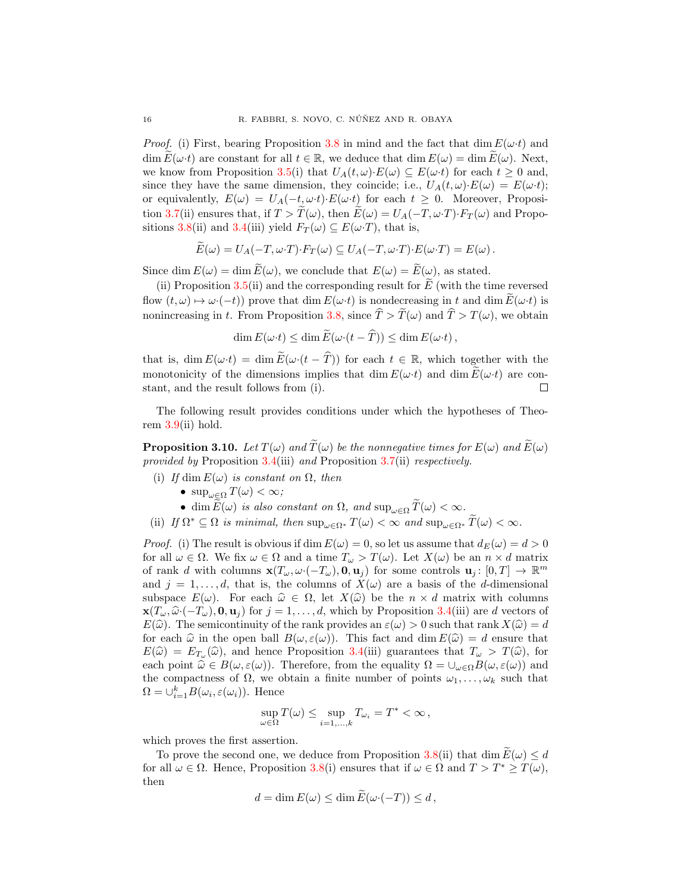*Proof.* (i) First, bearing Proposition [3.8](#page-14-0) in mind and the fact that dim  $E(\omega t)$  and dim  $E(\omega \cdot t)$  are constant for all  $t \in \mathbb{R}$ , we deduce that  $\dim E(\omega) = \dim E(\omega)$ . Next, we know from Proposition [3.5\(](#page-10-0)i) that  $U_A(t,\omega)\cdot E(\omega) \subseteq E(\omega \cdot t)$  for each  $t \geq 0$  and, since they have the same dimension, they coincide; i.e.,  $U_A(t, \omega) \cdot E(\omega) = E(\omega \cdot t)$ ; or equivalently,  $E(\omega) = U_A(-t, \omega \cdot t) \cdot E(\omega \cdot t)$  for each  $t \geq 0$ . Moreover, Proposi-tion [3.7\(](#page-13-1)ii) ensures that, if  $T > \widetilde{T}(\omega)$ , then  $\widetilde{E}(\omega) = U_A(-T, \omega \cdot T) \cdot F_T(\omega)$  and Propo-sitions [3.8\(](#page-14-0)ii) and [3.4\(](#page-9-0)iii) yield  $F_T(\omega) \subseteq E(\omega \cdot T)$ , that is,

$$
\widetilde{E}(\omega) = U_A(-T, \omega \cdot T) \cdot F_T(\omega) \subseteq U_A(-T, \omega \cdot T) \cdot E(\omega \cdot T) = E(\omega).
$$

Since dim  $E(\omega) = \dim \widetilde{E}(\omega)$ , we conclude that  $E(\omega) = \widetilde{E}(\omega)$ , as stated.

(ii) Proposition [3.5\(](#page-10-0)ii) and the corresponding result for  $\vec{E}$  (with the time reversed flow  $(t, \omega) \mapsto \omega \cdot (-t)$  prove that dim  $E(\omega \cdot t)$  is nondecreasing in t and dim  $E(\omega \cdot t)$  is nonincreasing in t. From Proposition [3.8,](#page-14-0) since  $\hat{T} > \tilde{T}(\omega)$  and  $\hat{T} > T(\omega)$ , we obtain

$$
\dim E(\omega \cdot t) \leq \dim E(\omega \cdot (t - \hat{T})) \leq \dim E(\omega \cdot t),
$$

that is, dim  $E(\omega \cdot t) = \dim \widetilde{E}(\omega \cdot (t - \widehat{T}))$  for each  $t \in \mathbb{R}$ , which together with the monotonicity of the dimensions implies that dim  $E(\omega \cdot t)$  and dim  $\widetilde{E}(\omega \cdot t)$  are constant and the result follows from (i) stant, and the result follows from (i).

The following result provides conditions under which the hypotheses of Theorem  $3.9$ (ii) hold.

<span id="page-15-0"></span>**Proposition 3.10.** Let  $T(\omega)$  and  $\widetilde{T}(\omega)$  be the nonnegative times for  $E(\omega)$  and  $\widetilde{E}(\omega)$ provided by Proposition [3.4\(](#page-9-0)iii) and Proposition [3.7\(](#page-13-1)ii) respectively.

(i) If dim  $E(\omega)$  is constant on  $\Omega$ , then

- $\sup_{\omega \in \Omega} T(\omega) < \infty$ ;
- dim  $\widetilde{E}(\omega)$  is also constant on  $\Omega$ , and  $\sup_{\omega \in \Omega} \widetilde{T}(\omega) < \infty$ .
- (ii) If  $\Omega^* \subseteq \Omega$  is minimal, then  $\sup_{\omega \in \Omega^*} T(\omega) < \infty$  and  $\sup_{\omega \in \Omega^*} \widetilde{T}(\omega) < \infty$ .

*Proof.* (i) The result is obvious if dim  $E(\omega) = 0$ , so let us assume that  $d_E(\omega) = d > 0$ for all  $\omega \in \Omega$ . We fix  $\omega \in \Omega$  and a time  $T_{\omega} > T(\omega)$ . Let  $X(\omega)$  be an  $n \times d$  matrix of rank d with columns  $\mathbf{x}(T_{\omega}, \omega \cdot (-T_{\omega}), \mathbf{0}, \mathbf{u}_j)$  for some controls  $\mathbf{u}_j : [0, T] \to \mathbb{R}^m$ and  $j = 1, \ldots, d$ , that is, the columns of  $X(\omega)$  are a basis of the d-dimensional subspace  $E(\omega)$ . For each  $\hat{\omega} \in \Omega$ , let  $X(\hat{\omega})$  be the  $n \times d$  matrix with columns  $\mathbf{x}(T_\omega, \hat{\omega} \cdot (-T_\omega), \mathbf{0}, \mathbf{u}_j)$  for  $j = 1, \ldots, d$ , which by Proposition [3.4\(](#page-9-0)iii) are d vectors of  $E(\widehat{\omega})$ . The semicontinuity of the rank provides an  $\varepsilon(\omega) > 0$  such that rank  $X(\widehat{\omega}) = d$ for each  $\hat{\omega}$  in the open ball  $B(\omega, \varepsilon(\omega))$ . This fact and dim  $E(\hat{\omega}) = d$  ensure that  $E(\widehat{\omega}) = E_{T_{\omega}}(\widehat{\omega})$ , and hence Proposition [3.4\(](#page-9-0)iii) guarantees that  $T_{\omega} > T(\widehat{\omega})$ , for each point  $\widehat{\omega} \in B(\omega, \varepsilon(\omega))$ . Therefore, from the equality  $Q = \square - B(\omega, \varepsilon(\omega))$  and each point  $\widehat{\omega} \in B(\omega, \varepsilon(\omega))$ . Therefore, from the equality  $\Omega = \cup_{\omega \in \Omega} B(\omega, \varepsilon(\omega))$  and the compactness of  $\Omega$ , we obtain a finite number of points  $\omega_1, \ldots, \omega_k$  such that  $\Omega = \bigcup_{i=1}^{k} B(\omega_i, \varepsilon(\omega_i)).$  Hence

$$
\sup_{\omega \in \Omega} T(\omega) \le \sup_{i=1,\dots,k} T_{\omega_i} = T^* < \infty,
$$

which proves the first assertion.

To prove the second one, we deduce from Proposition [3.8\(](#page-14-0)ii) that dim  $\widetilde{E}(\omega) \leq d$ for all  $\omega \in \Omega$ . Hence, Proposition [3.8\(](#page-14-0)i) ensures that if  $\omega \in \Omega$  and  $T > T^* \geq T(\omega)$ , then

$$
d = \dim E(\omega) \le \dim E(\omega \cdot (-T)) \le d,
$$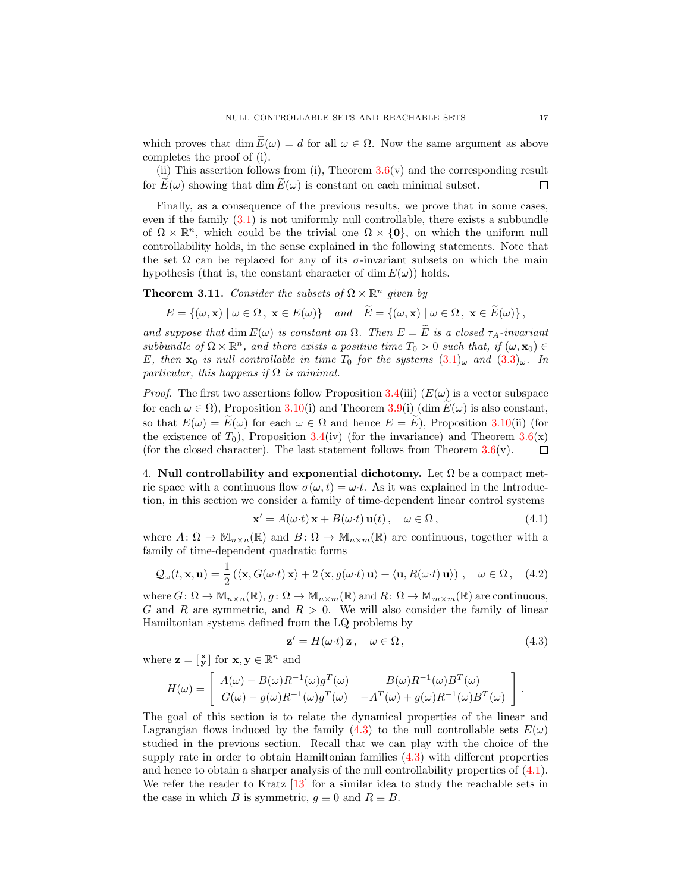which proves that dim  $E(\omega) = d$  for all  $\omega \in \Omega$ . Now the same argument as above completes the proof of (i).

(ii) This assertion follows from (i), Theorem  $3.6(v)$  $3.6(v)$  and the corresponding result for  $E(\omega)$  showing that dim  $E(\omega)$  is constant on each minimal subset.  $\Box$ 

Finally, as a consequence of the previous results, we prove that in some cases, even if the family [\(3.1\)](#page-8-1) is not uniformly null controllable, there exists a subbundle of  $\Omega \times \mathbb{R}^n$ , which could be the trivial one  $\Omega \times \{0\}$ , on which the uniform null controllability holds, in the sense explained in the following statements. Note that the set  $\Omega$  can be replaced for any of its  $\sigma$ -invariant subsets on which the main hypothesis (that is, the constant character of dim  $E(\omega)$ ) holds.

**Theorem 3.11.** Consider the subsets of  $\Omega \times \mathbb{R}^n$  given by

$$
E = \{(\omega, \mathbf{x}) \mid \omega \in \Omega, \ \mathbf{x} \in E(\omega)\} \quad and \quad \tilde{E} = \{(\omega, \mathbf{x}) \mid \omega \in \Omega, \ \mathbf{x} \in \tilde{E}(\omega)\},
$$

and suppose that dim  $E(\omega)$  is constant on  $\Omega$ . Then  $E = \widetilde{E}$  is a closed  $\tau_A$ -invariant subbundle of  $\Omega \times \mathbb{R}^n$ , and there exists a positive time  $T_0 > 0$  such that, if  $(\omega, \mathbf{x}_0) \in$ E, then  $\mathbf{x}_0$  is null controllable in time  $T_0$  for the systems  $(3.1)_{\omega}$  $(3.1)_{\omega}$  and  $(3.3)_{\omega}$  $(3.3)_{\omega}$ . In particular, this happens if  $\Omega$  is minimal.

*Proof.* The first two assertions follow Proposition [3.4\(](#page-9-0)iii)  $(E(\omega))$  is a vector subspace for each  $\omega \in \Omega$ ), Proposition [3.10\(](#page-15-0)i) and Theorem [3.9\(](#page-14-1)i) (dim  $E(\omega)$  is also constant, so that  $E(\omega) = \tilde{E}(\omega)$  for each  $\omega \in \Omega$  and hence  $E = \tilde{E}$ ), Proposition [3.10\(](#page-15-0)ii) (for the existence of  $T_0$ ), Proposition [3.4\(](#page-9-0)iv) (for the invariance) and Theorem [3.6\(](#page-11-0)x) (for the closed character). The last statement follows from Theorem  $3.6(v)$  $3.6(v)$ .  $\Box$ 

<span id="page-16-0"></span>4. Null controllability and exponential dichotomy. Let  $\Omega$  be a compact metric space with a continuous flow  $\sigma(\omega, t) = \omega \cdot t$ . As it was explained in the Introduction, in this section we consider a family of time-dependent linear control systems

<span id="page-16-2"></span>
$$
\mathbf{x}' = A(\omega \cdot t) \mathbf{x} + B(\omega \cdot t) \mathbf{u}(t), \quad \omega \in \Omega, \tag{4.1}
$$

where  $A: \Omega \to M_{n \times n}(\mathbb{R})$  and  $B: \Omega \to M_{n \times m}(\mathbb{R})$  are continuous, together with a family of time-dependent quadratic forms

$$
\mathcal{Q}_{\omega}(t, \mathbf{x}, \mathbf{u}) = \frac{1}{2} \left( \langle \mathbf{x}, G(\omega \cdot t) \mathbf{x} \rangle + 2 \langle \mathbf{x}, g(\omega \cdot t) \mathbf{u} \rangle + \langle \mathbf{u}, R(\omega \cdot t) \mathbf{u} \rangle \right), \quad \omega \in \Omega, \quad (4.2)
$$

where  $G: \Omega \to \mathbb{M}_{n \times n}(\mathbb{R}), g: \Omega \to \mathbb{M}_{n \times m}(\mathbb{R})$  and  $R: \Omega \to \mathbb{M}_{m \times m}(\mathbb{R})$  are continuous, G and R are symmetric, and  $R > 0$ . We will also consider the family of linear Hamiltonian systems defined from the LQ problems by

<span id="page-16-1"></span>
$$
\mathbf{z}' = H(\omega \cdot t) \mathbf{z}, \quad \omega \in \Omega, \tag{4.3}
$$

where  $\mathbf{z} = \begin{bmatrix} \mathbf{x} \\ \mathbf{y} \end{bmatrix}$  for  $\mathbf{x}, \mathbf{y} \in \mathbb{R}^n$  and

$$
H(\omega) = \begin{bmatrix} A(\omega) - B(\omega)R^{-1}(\omega)g^T(\omega) & B(\omega)R^{-1}(\omega)B^T(\omega) \\ G(\omega) - g(\omega)R^{-1}(\omega)g^T(\omega) & -A^T(\omega) + g(\omega)R^{-1}(\omega)B^T(\omega) \end{bmatrix}.
$$

The goal of this section is to relate the dynamical properties of the linear and Lagrangian flows induced by the family [\(4.3\)](#page-16-1) to the null controllable sets  $E(\omega)$ studied in the previous section. Recall that we can play with the choice of the supply rate in order to obtain Hamiltonian families [\(4.3\)](#page-16-1) with different properties and hence to obtain a sharper analysis of the null controllability properties of [\(4.1\)](#page-16-2). We refer the reader to Kratz [\[13\]](#page-25-9) for a similar idea to study the reachable sets in the case in which B is symmetric,  $q \equiv 0$  and  $R \equiv B$ .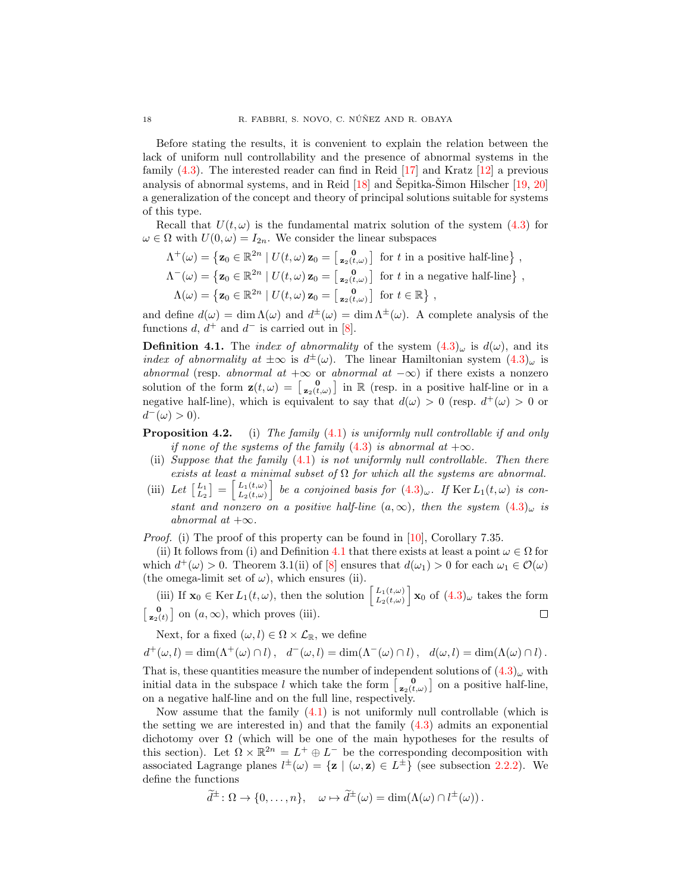Before stating the results, it is convenient to explain the relation between the lack of uniform null controllability and the presence of abnormal systems in the family [\(4.3\)](#page-16-1). The interested reader can find in Reid [\[17\]](#page-25-11) and Kratz [\[12\]](#page-25-12) a previous analysis of abnormal systems, and in Reid  $[18]$  and Šepitka-Šimon Hilscher  $[19, 20]$  $[19, 20]$  $[19, 20]$  $[19, 20]$ a generalization of the concept and theory of principal solutions suitable for systems of this type.

Recall that  $U(t, \omega)$  is the fundamental matrix solution of the system [\(4.3\)](#page-16-1) for  $\omega \in \Omega$  with  $U(0, \omega) = I_{2n}$ . We consider the linear subspaces

$$
\Lambda^+(\omega) = \{ \mathbf{z}_0 \in \mathbb{R}^{2n} \mid U(t,\omega) \mathbf{z}_0 = \begin{bmatrix} 0 \\ \mathbf{z}_2(t,\omega) \end{bmatrix} \text{ for } t \text{ in a positive half-line} \},
$$
  
\n
$$
\Lambda^-(\omega) = \{ \mathbf{z}_0 \in \mathbb{R}^{2n} \mid U(t,\omega) \mathbf{z}_0 = \begin{bmatrix} 0 \\ \mathbf{z}_2(t,\omega) \end{bmatrix} \text{ for } t \text{ in a negative half-line} \},
$$
  
\n
$$
\Lambda(\omega) = \{ \mathbf{z}_0 \in \mathbb{R}^{2n} \mid U(t,\omega) \mathbf{z}_0 = \begin{bmatrix} 0 \\ \mathbf{z}_2(t,\omega) \end{bmatrix} \text{ for } t \in \mathbb{R} \},
$$

and define  $d(\omega) = \dim \Lambda(\omega)$  and  $d^{\pm}(\omega) = \dim \Lambda^{\pm}(\omega)$ . A complete analysis of the functions  $d, d^+$  and  $d^-$  is carried out in [\[8\]](#page-25-5).

<span id="page-17-0"></span>**Definition 4.1.** The *index of abnormality* of the system  $(4.3)_{\omega}$  $(4.3)_{\omega}$  is  $d(\omega)$ , and its index of abnormality at  $\pm \infty$  is  $d^{\pm}(\omega)$ . The linear Hamiltonian system  $(4.3)_{\omega}$  $(4.3)_{\omega}$  is abnormal (resp. abnormal at  $+\infty$  or abnormal at  $-\infty$ ) if there exists a nonzero solution of the form  $\mathbf{z}(t,\omega) = \begin{bmatrix} 0 \\ \mathbf{z}_2(t,\omega) \end{bmatrix}$  in R (resp. in a positive half-line or in a negative half-line), which is equivalent to say that  $d(\omega) > 0$  (resp.  $d^+(\omega) > 0$  or  $d^-(\omega) > 0$ .

- <span id="page-17-1"></span>**Proposition 4.2.** (i) The family  $(4.1)$  is uniformly null controllable if and only if none of the systems of the family  $(4.3)$  is abnormal at  $+\infty$ .
- (ii) Suppose that the family  $(4.1)$  is not uniformly null controllable. Then there exists at least a minimal subset of  $\Omega$  for which all the systems are abnormal.
- (iii) Let  $\begin{bmatrix} L_1 \\ L_2 \end{bmatrix} = \begin{bmatrix} L_1(t,\omega) \\ L_2(t,\omega) \end{bmatrix}$  $\left[\begin{array}{c} L_1(t,\omega) \ L_2(t,\omega) \end{array}\right]$  be a conjoined basis for  $(4.3)_{\omega}$  $(4.3)_{\omega}$ . If Ker  $L_1(t,\omega)$  is constant and nonzero on a positive half-line  $(a, \infty)$ , then the system  $(4.3)_{\omega}$  $(4.3)_{\omega}$  is abnormal at  $+\infty$ .

Proof. (i) The proof of this property can be found in [\[10\]](#page-25-2), Corollary 7.35.

(ii) It follows from (i) and Definition [4.1](#page-17-0) that there exists at least a point  $\omega \in \Omega$  for which  $d^+(\omega) > 0$ . Theorem 3.1(ii) of [\[8\]](#page-25-5) ensures that  $d(\omega_1) > 0$  for each  $\omega_1 \in \mathcal{O}(\omega)$ (the omega-limit set of  $\omega$ ), which ensures (ii).

(iii) If  $\mathbf{x}_0 \in \text{Ker } L_1(t,\omega)$ , then the solution  $\begin{bmatrix} L_1(t,\omega) \\ L_2(t,\omega) \end{bmatrix} \mathbf{x}_0$  of  $(4.3)_{\omega}$  $(4.3)_{\omega}$  takes the form (iii) If  $\mathbf{x}_0 \in \text{Ker } L_1(t, \omega)$ , then the solution  $\begin{bmatrix} L_1(t, \omega) \\ L_2(t, \omega) \end{bmatrix}$  $\begin{bmatrix} 0 \\ z_2(t) \end{bmatrix}$  on  $(a, \infty)$ , which proves (iii).  $\Box$ 

Next, for a fixed  $(\omega, l) \in \Omega \times \mathcal{L}_{\mathbb{R}}$ , we define

$$
d^+(\omega, l) = \dim(\Lambda^+(\omega) \cap l), \quad d^-(\omega, l) = \dim(\Lambda^-(\omega) \cap l), \quad d(\omega, l) = \dim(\Lambda(\omega) \cap l).
$$

That is, these quantities measure the number of independent solutions of  $(4.3)_{\omega}$  $(4.3)_{\omega}$  with initial data in the subspace l which take the form  $\begin{bmatrix} 0 \\ z_2(t,\omega) \end{bmatrix}$  on a positive half-line, on a negative half-line and on the full line, respectively.

Now assume that the family  $(4.1)$  is not uniformly null controllable (which is the setting we are interested in) and that the family  $(4.3)$  admits an exponential dichotomy over  $\Omega$  (which will be one of the main hypotheses for the results of this section). Let  $\Omega \times \mathbb{R}^{2n} = L^+ \oplus L^-$  be the corresponding decomposition with associated Lagrange planes  $l^{\pm}(\omega) = {\mathbf{z} \mid (\omega, \mathbf{z}) \in L^{\pm}}$  (see subsection [2.2.2\)](#page-6-2). We define the functions

$$
\widetilde{d}^{\pm} \colon \Omega \to \{0, \ldots, n\}, \quad \omega \mapsto \widetilde{d}^{\pm}(\omega) = \dim(\Lambda(\omega) \cap l^{\pm}(\omega)).
$$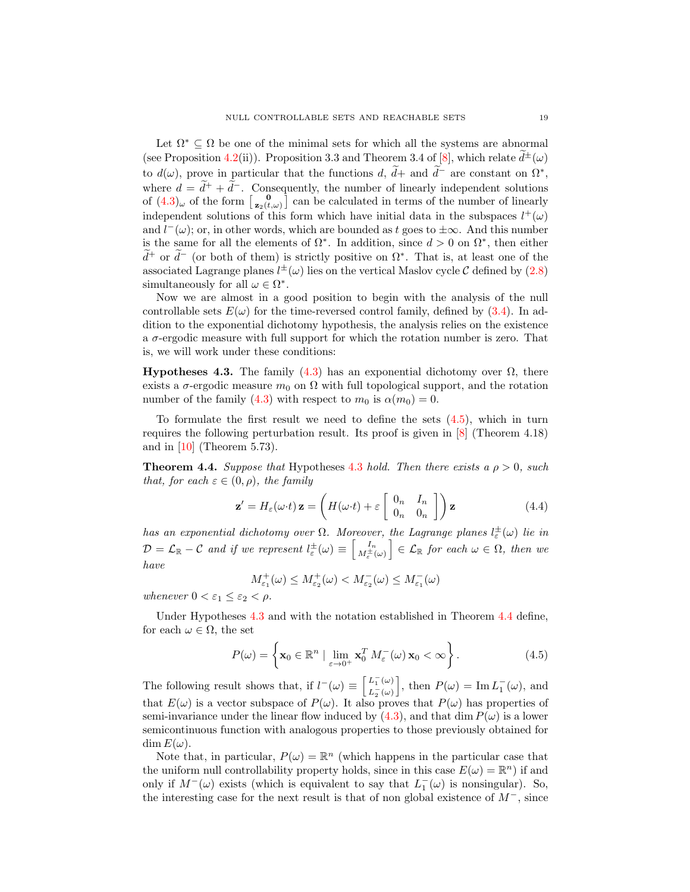Let  $\Omega^* \subseteq \Omega$  be one of the minimal sets for which all the systems are abnormal (see Proposition [4.2\(](#page-17-1)ii)). Proposition 3.3 and Theorem 3.4 of [\[8\]](#page-25-5), which relate  $\tilde{d}^{\pm}(\omega)$ to  $d(\omega)$ , prove in particular that the functions  $d, d+$  and  $d^-$  are constant on  $\Omega^*,$ where  $d = \tilde{d}^+ + \tilde{d}^-$ . Consequently, the number of linearly independent solutions of  $(4.3)_{\omega}$  $(4.3)_{\omega}$  of the form  $\begin{bmatrix} 0 \\ z_2(t,\omega) \end{bmatrix}$  can be calculated in terms of the number of linearly independent solutions of this form which have initial data in the subspaces  $l^+(\omega)$ and  $l^-(\omega)$ ; or, in other words, which are bounded as t goes to  $\pm\infty$ . And this number is the same for all the elements of  $\Omega^*$ . In addition, since  $d > 0$  on  $\Omega^*$ , then either  $d^+$  or  $d^-$  (or both of them) is strictly positive on  $\Omega^*$ . That is, at least one of the associated Lagrange planes  $l^{\pm}(\omega)$  lies on the vertical Maslov cycle C defined by [\(2.8\)](#page-6-1) simultaneously for all  $\omega \in \Omega^*$ .

Now we are almost in a good position to begin with the analysis of the null controllable sets  $E(\omega)$  for the time-reversed control family, defined by [\(3.4\)](#page-8-5). In addition to the exponential dichotomy hypothesis, the analysis relies on the existence a  $\sigma$ -ergodic measure with full support for which the rotation number is zero. That is, we will work under these conditions:

<span id="page-18-1"></span>**Hypotheses 4.3.** The family [\(4.3\)](#page-16-1) has an exponential dichotomy over  $\Omega$ , there exists a  $\sigma$ -ergodic measure  $m_0$  on  $\Omega$  with full topological support, and the rotation number of the family [\(4.3\)](#page-16-1) with respect to  $m_0$  is  $\alpha(m_0) = 0$ .

To formulate the first result we need to define the sets  $(4.5)$ , which in turn requires the following perturbation result. Its proof is given in [\[8\]](#page-25-5) (Theorem 4.18) and in  $[10]$  (Theorem 5.73).

<span id="page-18-2"></span>**Theorem 4.4.** Suppose that Hypotheses [4.3](#page-18-1) hold. Then there exists a  $\rho > 0$ , such that, for each  $\varepsilon \in (0, \rho)$ , the family

<span id="page-18-3"></span>
$$
\mathbf{z}' = H_{\varepsilon}(\omega \cdot t) \mathbf{z} = \left( H(\omega \cdot t) + \varepsilon \begin{bmatrix} 0_n & I_n \\ 0_n & 0_n \end{bmatrix} \right) \mathbf{z}
$$
(4.4)

has an exponential dichotomy over  $\Omega$ . Moreover, the Lagrange planes  $l_{\varepsilon}^{\pm}(\omega)$  lie in  $\mathcal{D}=\mathcal{L}_{\mathbb{R}}-\mathcal{C}$  and if we represent  $l_{\varepsilon}^{\pm}(\omega)\equiv\left[ \frac{I_{n}}{M_{\varepsilon}^{\pm}(\omega)}\right] \in\mathcal{L}_{\mathbb{R}}$  for each  $\omega\in\Omega,$  then we have

$$
M_{\varepsilon_1}^+(\omega) \leq M_{\varepsilon_2}^+(\omega) < M_{\varepsilon_2}^-(\omega) \leq M_{\varepsilon_1}^-(\omega)
$$

whenever  $0 < \varepsilon_1 \leq \varepsilon_2 < \rho$ .

Under Hypotheses [4.3](#page-18-1) and with the notation established in Theorem [4.4](#page-18-2) define, for each  $\omega \in \Omega$ , the set

<span id="page-18-0"></span>
$$
P(\omega) = \left\{ \mathbf{x}_0 \in \mathbb{R}^n \mid \lim_{\varepsilon \to 0^+} \mathbf{x}_0^T M_{\varepsilon}^-(\omega) \mathbf{x}_0 < \infty \right\}. \tag{4.5}
$$

The following result shows that, if  $l^-(\omega) \equiv \begin{bmatrix} L^-_1(\omega) \\ L^-_2(\omega) \end{bmatrix}$  $L_2^-(\omega)$ , then  $P(\omega) = \text{Im } L_1(\omega)$ , and that  $E(\omega)$  is a vector subspace of  $P(\omega)$ . It also proves that  $P(\omega)$  has properties of semi-invariance under the linear flow induced by  $(4.3)$ , and that dim  $P(\omega)$  is a lower semicontinuous function with analogous properties to those previously obtained for  $\dim E(\omega)$ .

Note that, in particular,  $P(\omega) = \mathbb{R}^n$  (which happens in the particular case that the uniform null controllability property holds, since in this case  $E(\omega) = \mathbb{R}^n$  if and only if  $M^-(\omega)$  exists (which is equivalent to say that  $L_1^-(\omega)$  is nonsingular). So, the interesting case for the next result is that of non global existence of  $M^-$ , since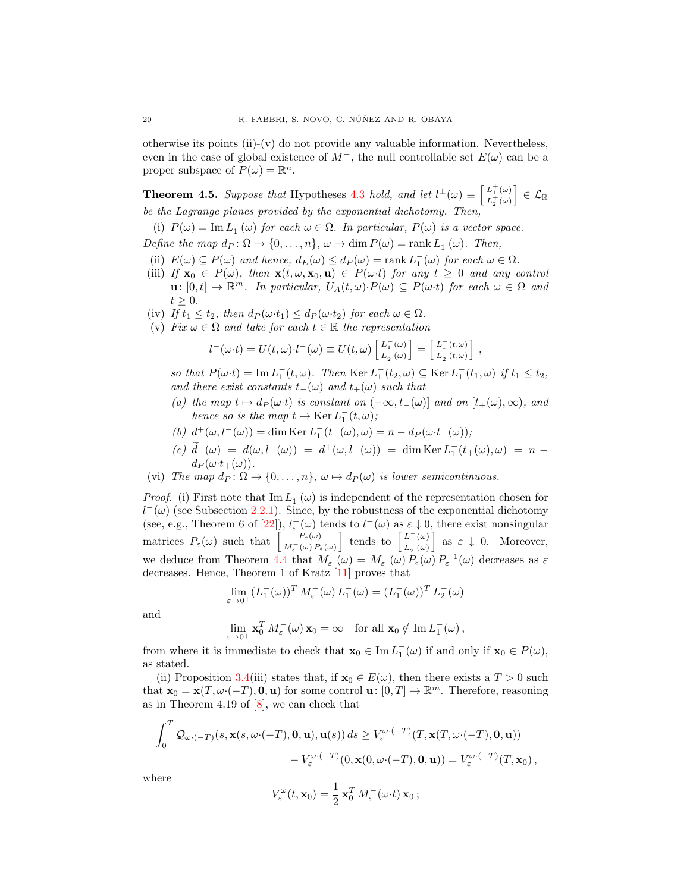otherwise its points (ii)-(y) do not provide any valuable information. Nevertheless, even in the case of global existence of  $M^-$ , the null controllable set  $E(\omega)$  can be a proper subspace of  $P(\omega) = \mathbb{R}^n$ .

<span id="page-19-0"></span>**Theorem 4.5.** Suppose that Hypotheses [4.3](#page-18-1) hold, and let  $l^{\pm}(\omega) \equiv \begin{bmatrix} L^{\pm}_{1}(\omega) \\ L^{\pm}_{2}(\omega) \end{bmatrix}$  $L_2^{\pm}(\omega)$  $\big] \in \mathcal{L}_\mathbb{R}$ be the Lagrange planes provided by the exponential dichotomy. Then,

(i)  $P(\omega) = \text{Im } L_1^-(\omega)$  for each  $\omega \in \Omega$ . In particular,  $P(\omega)$  is a vector space.

Define the map  $d_P : \Omega \to \{0, \ldots, n\}, \omega \mapsto \dim P(\omega) = \operatorname{rank} L_1(\omega)$ . Then,

- (ii)  $E(\omega) \subseteq P(\omega)$  and hence,  $d_E(\omega) \leq d_P(\omega) = \text{rank } L_1^-(\omega)$  for each  $\omega \in \Omega$ .
- (iii) If  $\mathbf{x}_0 \in P(\omega)$ , then  $\mathbf{x}(t, \omega, \mathbf{x}_0, \mathbf{u}) \in P(\omega t)$  for any  $t \geq 0$  and any control  $\mathbf{u}: [0,t] \to \mathbb{R}^m$ . In particular,  $U_A(t,\omega) \cdot P(\omega) \subseteq P(\omega \cdot t)$  for each  $\omega \in \Omega$  and  $t \geq 0$ .
- (iv) If  $t_1 \leq t_2$ , then  $d_P(\omega \cdot t_1) \leq d_P(\omega \cdot t_2)$  for each  $\omega \in \Omega$ .
- (v) Fix  $\omega \in \Omega$  and take for each  $t \in \mathbb{R}$  the representation

$$
l^-(\omega \cdot t) = U(t, \omega) \cdot l^-(\omega) \equiv U(t, \omega) \begin{bmatrix} L_1^-(\omega) \\ L_2^-(\omega) \end{bmatrix} = \begin{bmatrix} L_1^-(t, \omega) \\ L_2^-(t, \omega) \end{bmatrix},
$$

so that  $P(\omega \cdot t) = \text{Im } L_1^-(t, \omega)$ . Then  $\text{Ker } L_1^-(t_2, \omega) \subseteq \text{Ker } L_1^-(t_1, \omega)$  if  $t_1 \leq t_2$ , and there exist constants  $t_-(\omega)$  and  $t_+(\omega)$  such that

- (a) the map  $t \mapsto d_P(\omega \cdot t)$  is constant on  $(-\infty, t-(\omega))$  and on  $[t+(\omega), \infty)$ , and hence so is the map  $t \mapsto \text{Ker } L_1^-(t, \omega);$
- (b)  $d^+(\omega, l^-(\omega)) = \dim \text{Ker } L_1^-(t_-(\omega), \omega) = n d_P(\omega \cdot t_-(\omega));$
- $(c) \widetilde{d}^-(\omega) = d(\omega, l^-(\omega)) = d^+(\omega, l^-(\omega)) = \dim \text{Ker } L_1^-(t_+(\omega), \omega) = n$  $d_P(\omega \cdot t_+(\omega)).$
- (vi) The map  $d_P : \Omega \to \{0, \ldots, n\}, \omega \mapsto d_P(\omega)$  is lower semicontinuous.

*Proof.* (i) First note that  $\text{Im } L_1^-(\omega)$  is independent of the representation chosen for  $l^-(\omega)$  (see Subsection [2.2.1\)](#page-5-0). Since, by the robustness of the exponential dichotomy (see, e.g., Theorem 6 of [\[22\]](#page-25-16)),  $l_{\varepsilon}(\omega)$  tends to  $l^-(\omega)$  as  $\varepsilon \downarrow 0$ , there exist nonsingular matrices  $P_{\varepsilon}(\omega)$  such that  $\begin{bmatrix} P_{\varepsilon}(\omega) \\ M^{-}(\omega) P \end{bmatrix}$  $P_{\varepsilon}(\omega)$ <br>  $M_{\varepsilon}^{-}(\omega) P_{\varepsilon}(\omega)$  tends to  $\begin{bmatrix} L_1^{-}(\omega) \\ L_2^{-}(\omega) \end{bmatrix}$  $L_2^-(\omega)$ as  $\varepsilon \downarrow 0$ . Moreover, we deduce from Theorem [4.4](#page-18-3) that  $M_{\varepsilon}(\omega) = M_{\varepsilon}(\omega) P_{\varepsilon}(\omega) P_{\varepsilon}(\omega) P_{\varepsilon}(\omega)$  decreases as  $\varepsilon$ decreases. Hence, Theorem 1 of Kratz [\[11\]](#page-25-17) proves that

$$
\lim_{\varepsilon \to 0^+} (L_1^-(\omega))^T M_{\varepsilon}^-(\omega) L_1^-(\omega) = (L_1^-(\omega))^T L_2^-(\omega)
$$

and

$$
\lim_{\varepsilon \to 0^+} \mathbf{x}_0^T M_{\varepsilon}^-(\omega) \mathbf{x}_0 = \infty \quad \text{for all } \mathbf{x}_0 \notin \text{Im } L_1^-(\omega),
$$

from where it is immediate to check that  $\mathbf{x}_0 \in \text{Im } L_1^-(\omega)$  if and only if  $\mathbf{x}_0 \in P(\omega)$ , as stated.

(ii) Proposition [3.4\(](#page-9-0)iii) states that, if  $\mathbf{x}_0 \in E(\omega)$ , then there exists a  $T > 0$  such that  $\mathbf{x}_0 = \mathbf{x}(T, \omega \cdot (-T), \mathbf{0}, \mathbf{u})$  for some control  $\mathbf{u}: [0, T] \to \mathbb{R}^m$ . Therefore, reasoning as in Theorem 4.19 of [\[8\]](#page-25-5), we can check that

$$
\int_0^T \mathcal{Q}_{\omega \cdot (-T)}(s, \mathbf{x}(s, \omega \cdot (-T), \mathbf{0}, \mathbf{u}), \mathbf{u}(s)) ds \ge V_{\varepsilon}^{\omega \cdot (-T)}(T, \mathbf{x}(T, \omega \cdot (-T), \mathbf{0}, \mathbf{u}))
$$

$$
-V_{\varepsilon}^{\omega \cdot (-T)}(0, \mathbf{x}(0, \omega \cdot (-T), \mathbf{0}, \mathbf{u})) = V_{\varepsilon}^{\omega \cdot (-T)}(T, \mathbf{x}_0),
$$
 here

w

$$
V_{\varepsilon}^{\omega}(t,\mathbf{x}_0)=\frac{1}{2}\,\mathbf{x}_0^T\,M_{\varepsilon}^-(\omega{\cdot}t)\,\mathbf{x}_0\,;
$$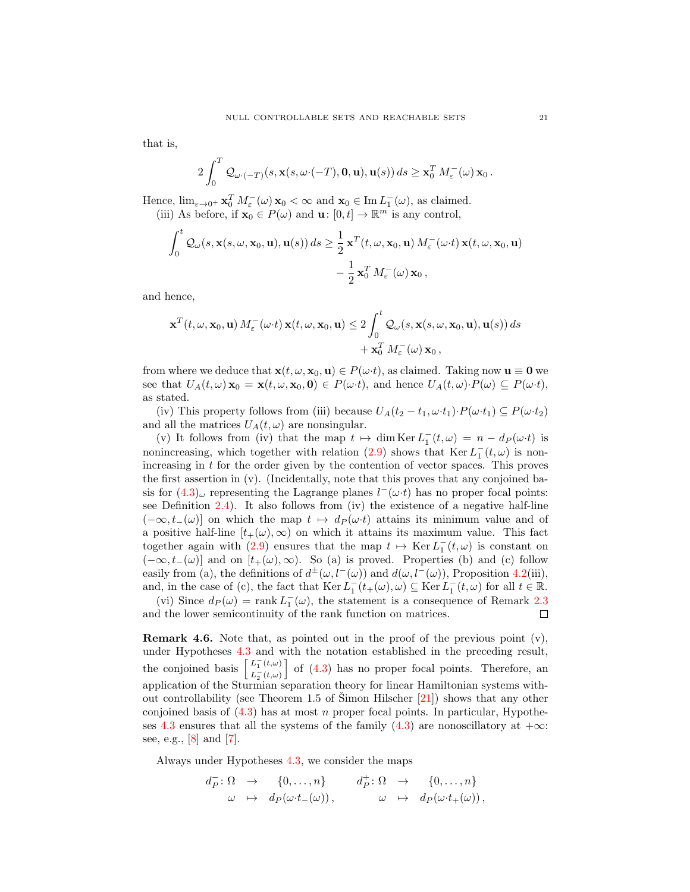that is,

$$
2\int_0^T \mathcal{Q}_{\omega \cdot (-T)}(s, \mathbf{x}(s, \omega \cdot (-T), \mathbf{0}, \mathbf{u}), \mathbf{u}(s)) ds \geq \mathbf{x}_0^T M_{\varepsilon}^-(\omega) \mathbf{x}_0.
$$

Hence,  $\lim_{\varepsilon \to 0^+} \mathbf{x}_0^T M_{\varepsilon}(\omega) \mathbf{x}_0 < \infty$  and  $\mathbf{x}_0 \in \text{Im } L_1(\omega)$ , as claimed.

(iii) As before, if  $\mathbf{x}_0 \in P(\omega)$  and  $\mathbf{u}: [0, t] \to \mathbb{R}^m$  is any control,

$$
\int_0^t \mathcal{Q}_{\omega}(s, \mathbf{x}(s, \omega, \mathbf{x}_0, \mathbf{u}), \mathbf{u}(s)) ds \ge \frac{1}{2} \mathbf{x}^T(t, \omega, \mathbf{x}_0, \mathbf{u}) M_{\varepsilon}(\omega \cdot t) \mathbf{x}(t, \omega, \mathbf{x}_0, \mathbf{u}) - \frac{1}{2} \mathbf{x}_0^T M_{\varepsilon}(\omega) \mathbf{x}_0,
$$

and hence,

$$
\mathbf{x}^{T}(t, \omega, \mathbf{x}_{0}, \mathbf{u}) M_{\varepsilon}^{-}(\omega \cdot t) \mathbf{x}(t, \omega, \mathbf{x}_{0}, \mathbf{u}) \leq 2 \int_{0}^{t} Q_{\omega}(s, \mathbf{x}(s, \omega, \mathbf{x}_{0}, \mathbf{u}), \mathbf{u}(s)) ds + \mathbf{x}_{0}^{T} M_{\varepsilon}^{-}(\omega) \mathbf{x}_{0},
$$

from where we deduce that  $\mathbf{x}(t, \omega, \mathbf{x}_0, \mathbf{u}) \in P(\omega \cdot t)$ , as claimed. Taking now  $\mathbf{u} \equiv \mathbf{0}$  we see that  $U_A(t, \omega) \mathbf{x}_0 = \mathbf{x}(t, \omega, \mathbf{x}_0, \mathbf{0}) \in P(\omega \cdot t)$ , and hence  $U_A(t, \omega) \cdot P(\omega) \subseteq P(\omega \cdot t)$ , as stated.

(iv) This property follows from (iii) because  $U_A(t_2-t_1,\omega \cdot t_1) \cdot P(\omega \cdot t_1) \subseteq P(\omega \cdot t_2)$ and all the matrices  $U_A(t, \omega)$  are nonsingular.

(v) It follows from (iv) that the map  $t \mapsto \dim \text{Ker } L_1^-(t,\omega) = n - d_P(\omega \cdot t)$  is nonincreasing, which together with relation [\(2.9\)](#page-7-1) shows that  $\text{Ker } L_1^-(t, \omega)$  is nonincreasing in  $t$  for the order given by the contention of vector spaces. This proves the first assertion in (v). (Incidentally, note that this proves that any conjoined basis for  $(4.3)_{\omega}$  $(4.3)_{\omega}$  representing the Lagrange planes  $l^-(\omega \cdot t)$  has no proper focal points: see Definition [2.4\)](#page-7-2). It also follows from (iv) the existence of a negative half-line  $(-\infty, t_-(\omega))$  on which the map  $t \mapsto dp(\omega \cdot t)$  attains its minimum value and of a positive half-line  $[t_+(\omega), \infty)$  on which it attains its maximum value. This fact together again with [\(2.9\)](#page-7-1) ensures that the map  $t \mapsto \text{Ker } L_1^-(t,\omega)$  is constant on  $(-\infty, t_-(\omega)]$  and on  $[t_+(\omega), \infty)$ . So (a) is proved. Properties (b) and (c) follow easily from (a), the definitions of  $d^{\pm}(\omega, l^-(\omega))$  and  $d(\omega, l^-(\omega))$ , Proposition [4.2\(](#page-17-1)iii), and, in the case of (c), the fact that  $\text{Ker } L_1^-(t_+(\omega), \omega) \subseteq \text{Ker } L_1^-(t, \omega)$  for all  $t \in \mathbb{R}$ .

(vi) Since  $d_P(\omega) = \text{rank } L_1(\omega)$ , the statement is a consequence of Remark [2.3](#page-6-3)  $\Box$ and the lower semicontinuity of the rank function on matrices.

Remark 4.6. Note that, as pointed out in the proof of the previous point (v), under Hypotheses [4.3](#page-18-1) and with the notation established in the preceding result, the conjoined basis  $\begin{bmatrix} L_1^-(t,\omega) \\ L_2^-(t,\omega) \end{bmatrix}$  $L_2^-(t,\omega)$ of [\(4.3\)](#page-16-1) has no proper focal points. Therefore, an application of the Sturmian separation theory for linear Hamiltonian systems without controllability (see Theorem 1.5 of Simon Hilscher  $[21]$  $[21]$ ) shows that any other conjoined basis of  $(4.3)$  has at most n proper focal points. In particular, Hypothe-ses [4.3](#page-18-1) ensures that all the systems of the family  $(4.3)$  are nonoscillatory at  $+\infty$ : see, e.g., [\[8\]](#page-25-5) and [\[7\]](#page-24-6).

Always under Hypotheses [4.3,](#page-18-1) we consider the maps

$$
d_P^-: \Omega \to \{0, \ldots, n\} \t d_P^+: \Omega \to \{0, \ldots, n\} \n\omega \mapsto d_P(\omega \cdot t_-(\omega)), \t \omega \mapsto d_P(\omega \cdot t_+(\omega)),
$$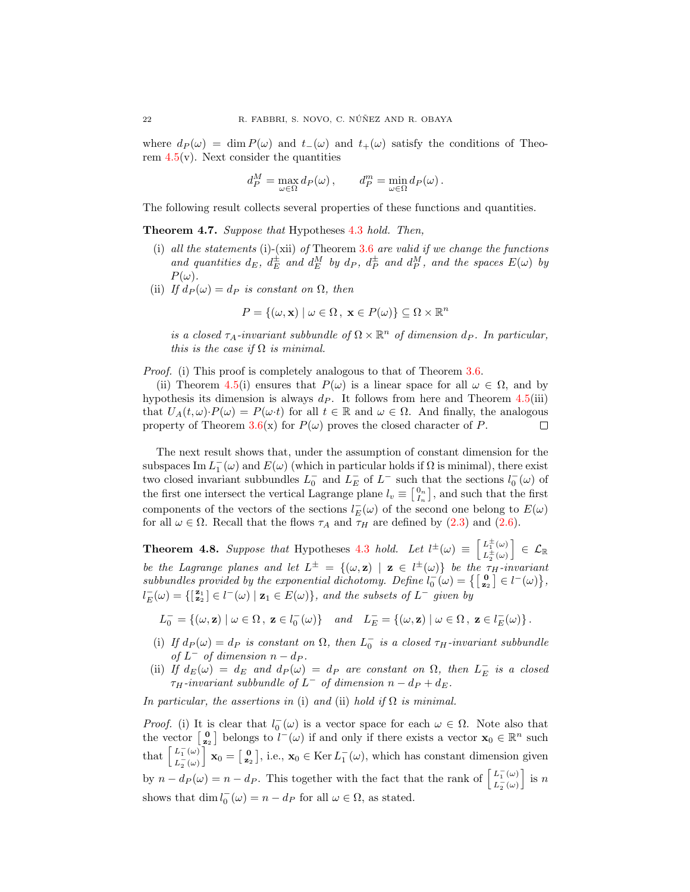where  $d_P(\omega) = \dim P(\omega)$  and  $t_-(\omega)$  and  $t_+(\omega)$  satisfy the conditions of Theorem  $4.5(v)$  $4.5(v)$ . Next consider the quantities

$$
d_P^M = \max_{\omega \in \Omega} d_P(\omega), \qquad d_P^m = \min_{\omega \in \Omega} d_P(\omega).
$$

The following result collects several properties of these functions and quantities.

<span id="page-21-0"></span>Theorem 4.7. Suppose that Hypotheses [4.3](#page-18-1) hold. Then,

- (i) all the statements (i)-(xii) of Theorem [3.6](#page-11-0) are valid if we change the functions and quantities  $d_E$ ,  $d_E^{\pm}$  and  $d_E^M$  by  $d_P$ ,  $d_P^{\pm}$  and  $d_P^M$ , and the spaces  $E(\omega)$  by  $P(\omega)$ .
- (ii) If  $d_P(\omega) = d_P$  is constant on  $\Omega$ , then

$$
P = \{(\omega, \mathbf{x}) \mid \omega \in \Omega, \ \mathbf{x} \in P(\omega) \} \subseteq \Omega \times \mathbb{R}^n
$$

is a closed  $\tau_A$ -invariant subbundle of  $\Omega \times \mathbb{R}^n$  of dimension  $d_P$ . In particular, this is the case if  $\Omega$  is minimal.

*Proof.* (i) This proof is completely analogous to that of Theorem [3.6.](#page-11-0)

(ii) Theorem [4.5\(](#page-19-0)i) ensures that  $P(\omega)$  is a linear space for all  $\omega \in \Omega$ , and by hypothesis its dimension is always  $d<sub>P</sub>$ . It follows from here and Theorem [4.5\(](#page-19-0)iii) that  $U_A(t,\omega)\cdot P(\omega) = P(\omega \cdot t)$  for all  $t \in \mathbb{R}$  and  $\omega \in \Omega$ . And finally, the analogous property of Theorem [3.6\(](#page-11-0)x) for  $P(\omega)$  proves the closed character of P.  $\Box$ 

The next result shows that, under the assumption of constant dimension for the subspaces Im  $L_1^-(\omega)$  and  $E(\omega)$  (which in particular holds if  $\Omega$  is minimal), there exist two closed invariant subbundles  $L_0^-$  and  $L_E^-$  of  $L^-$  such that the sections  $l_0^-(\omega)$  of the first one intersect the vertical Lagrange plane  $l_v \equiv \begin{bmatrix} 0_n \\ I_n \end{bmatrix}$ , and such that the first components of the vectors of the sections  $l_E^-(\omega)$  of the second one belong to  $E(\omega)$ for all  $\omega \in \Omega$ . Recall that the flows  $\tau_A$  and  $\tau_H$  are defined by [\(2.3\)](#page-4-2) and [\(2.6\)](#page-5-2).

<span id="page-21-1"></span>**Theorem 4.8.** Suppose that Hypotheses [4.3](#page-18-1) hold. Let  $l^{\pm}(\omega) \equiv \begin{bmatrix} L^{\pm}_{1}(\omega) \\ L^{\pm}(\omega) \end{bmatrix}$  $L_2^{\pm}(\omega)$ be the Lagrange planes and let  $L^{\pm} = \{(\omega, \mathbf{z}) \mid \mathbf{z} \in l^{\pm}(\omega)\}\$  be the  $\tau_H$ -invariant  $\big]~\in~\mathcal{L}_\mathbb{R}$ subbundles provided by the exponential dichotomy. Define  $l_0^-(\omega) = \{ \begin{bmatrix} \mathbf{0} \\ \mathbf{z}_2 \end{bmatrix} \in l^-(\omega) \},\$  $l_E^-(\omega) = \{ [\frac{\mathbf{z}_1}{\mathbf{z}_2}] \in l^-(\omega) \mid \mathbf{z}_1 \in E(\omega) \},$  and the subsets of  $L^-$  given by

 $L_0^- = \{(\omega, \mathbf{z}) \mid \omega \in \Omega, \ \mathbf{z} \in l_0^-(\omega)\} \quad and \quad L_E^- = \{(\omega, \mathbf{z}) \mid \omega \in \Omega, \ \mathbf{z} \in l_E^-(\omega)\}.$ 

- (i) If  $d_P(\omega) = d_P$  is constant on  $\Omega$ , then  $L_0^-$  is a closed  $\tau_H$ -invariant subbundle of  $L^-$  of dimension  $n - d_P$ .
- (ii) If  $d_E(\omega) = d_E$  and  $d_P(\omega) = d_P$  are constant on  $\Omega$ , then  $L_E^-$  is a closed  $\tau_H$ -invariant subbundle of  $L^-$  of dimension  $n - d_P + d_E$ .

In particular, the assertions in (i) and (ii) hold if  $\Omega$  is minimal.

*Proof.* (i) It is clear that  $l_0^-(\omega)$  is a vector space for each  $\omega \in \Omega$ . Note also that the vector  $\begin{bmatrix} 0 \\ z_2 \end{bmatrix}$  belongs to  $l^-(\omega)$  if and only if there exists a vector  $\mathbf{x}_0 \in \mathbb{R}^n$  such that  $\left[ \frac{L_1^-(\omega)}{L_1^-(\omega)} \right]$  $L_2^-(\omega)$  $\mathbf{x}_0 = \begin{bmatrix} 0 \\ z_2 \end{bmatrix}$ , i.e.,  $\mathbf{x}_0 \in \text{Ker } L_1^-(\omega)$ , which has constant dimension given by  $n - d_P(\omega) = n - d_P$ . This together with the fact that the rank of  $\begin{bmatrix} L_1^-(\omega) \\ L_2^-(\omega) \end{bmatrix}$  $L_2^-(\omega)$  $\Big]$  is n shows that  $\dim l_0^-(\omega) = n - d_P$  for all  $\omega \in \Omega$ , as stated.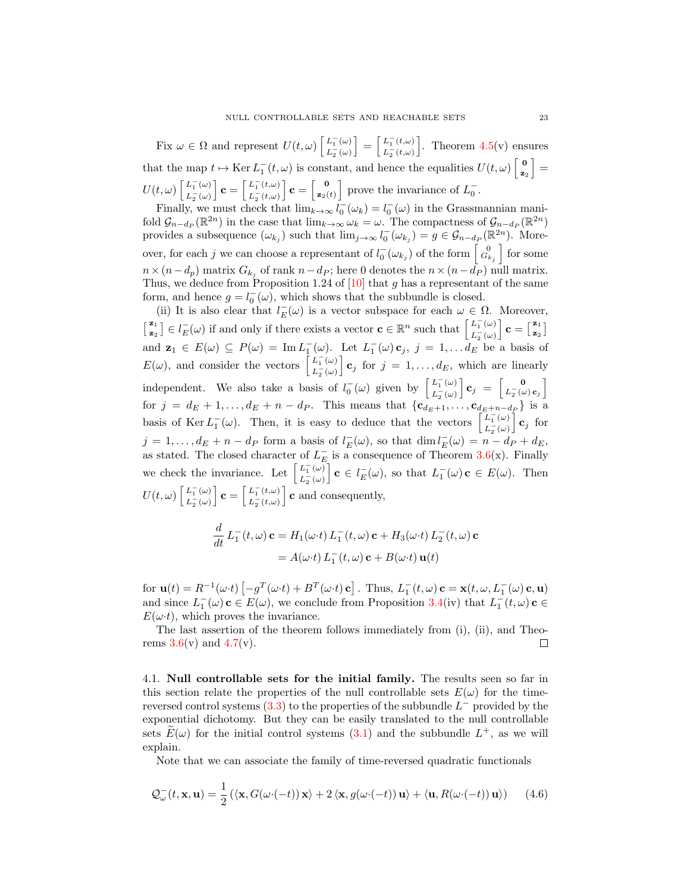Fix  $\omega \in \Omega$  and represent  $U(t, \omega)$   $\begin{bmatrix} L_1^-(\omega) \\ L_2^-(\omega) \end{bmatrix}$  $L_2^-(\omega)$  $\Big] = \Big[ \frac{L_1^-(t,\omega)}{L_1^-(t,\omega)} \Big]$  $L_2^-(t,\omega)$ . Theorem  $4.5(v)$  $4.5(v)$  ensures that the map  $t \mapsto \text{Ker } L_1^-(t,\omega)$  is constant, and hence the equalities  $U(t,\omega) \begin{bmatrix} 0 \\ z \end{bmatrix}$  $\begin{bmatrix} \mathbf{0} \ \mathbf{z}_2 \end{bmatrix} =$  $U(t,\omega)\left[\frac{L_1^-(\omega)}{L_1^-(\omega)}\right]$  $L_2^-(\omega)$  $\mathbf{c} = \begin{bmatrix} L_1^-(t,\omega) \\ L_2^-(t,\omega) \end{bmatrix}$  $L_2^-(t,\omega)$  $\mathbf{c} = \begin{bmatrix} 0 \\ z_0 \end{bmatrix}$  $\begin{bmatrix} 0 \\ z_2(t) \end{bmatrix}$  prove the invariance of  $L_0^-$ .

Finally, we must check that  $\lim_{k\to\infty} l_0^-(\omega_k) = l_0^-(\omega)$  in the Grassmannian manifold  $\mathcal{G}_{n-d_P}(\mathbb{R}^{2n})$  in the case that  $\lim_{k\to\infty} \omega_k = \omega$ . The compactness of  $\mathcal{G}_{n-d_P}(\mathbb{R}^{2n})$ provides a subsequence  $(\omega_{k_j})$  such that  $\lim_{j\to\infty} l_0^-(\omega_{k_j}) = g \in \mathcal{G}_{n-d_P}(\mathbb{R}^{2n})$ . Moreover, for each j we can choose a representant of  $l_0^-(\omega_{k_j})$  of the form  $\begin{bmatrix} 0 \\ G_{k_j} \end{bmatrix}$  for some  $n \times (n-d_p)$  matrix  $G_{k_j}$  of rank  $n-d_P$ ; here 0 denotes the  $n \times (n-d_P)$  null matrix. Thus, we deduce from Proposition 1.24 of  $[10]$  that g has a representant of the same form, and hence  $g = l_0^-(\omega)$ , which shows that the subbundle is closed.

(ii) It is also clear that  $l_E^-(\omega)$  is a vector subspace for each  $\omega \in \Omega$ . Moreover,  $\begin{bmatrix} \mathbf{z}_1 \\ z \end{bmatrix}$  $\mathbf{z}_{\mathbf{z}}^{(z)} \in l_{E}^{-}(\omega)$  if and only if there exists a vector  $\mathbf{c} \in \mathbb{R}^{n}$  such that  $\begin{bmatrix} L_{1}^{-}(\omega) \\ L_{2}^{-}(\omega) \end{bmatrix}$  $L_2^-(\omega)$  $\Big\} \, {\bf c} = \big\lceil \frac{{\bf z}_1}{{\bf z}_2} \big\rceil$  $\begin{bmatrix} \mathbf{z}_1 \ \mathbf{z}_2 \end{bmatrix}$ and  $\mathbf{z}_1 \in E(\omega) \subseteq P(\omega) = \text{Im } L_1^-(\omega)$ . Let  $L_1^-(\omega) \mathbf{c}_j$ ,  $j = 1, \ldots, d_E$  be a basis of  $E(\omega)$ , and consider the vectors  $\begin{bmatrix} L_1^-(\omega) \\ L_2^-(\omega) \end{bmatrix}$  $L_2^-(\omega)$  $\mathbf{c}_j$  for  $j = 1, \ldots, d_E$ , which are linearly independent. We also take a basis of  $l_0^-(\omega)$  given by  $\begin{bmatrix} L_1^-(\omega) \\ L_2^-(\omega) \end{bmatrix}$  $L_2^-(\omega)$ for  $j = d_E + 1, \ldots, d_E + n - d_P$ . This means that  $\{c_{d_E+1}, \ldots, c_{d_E+n-d_P}\}\$  is a  $\mathbf{c}_j = \begin{bmatrix} 0 \\ L_0^-(\mu) \end{bmatrix}$  $\left.\begin{array}{c} \mathbf{0} \ L_2^-(\omega) \, \mathbf{c}_j \end{array} \right]$ basis of Ker  $L_1^-(\omega)$ . Then, it is easy to deduce that the vectors  $\begin{bmatrix} L_1^-(\omega) \\ L_2^-(\omega) \end{bmatrix}$  $L_2^-(\omega)$  $\mathbf{c}_j$  for  $j = 1, \ldots, d_E + n - d_P$  form a basis of  $l_E(\omega)$ , so that  $\dim l_E(\omega) = n - d_P + d_E$ , as stated. The closed character of  $L_E^-$  is a consequence of Theorem [3.6\(](#page-11-0)x). Finally we check the invariance. Let  $\begin{bmatrix} L_1^-(\omega) \\ L_2^-(\omega) \end{bmatrix}$  $L_2^-(\omega)$  $\mathbf{c} \in l_E^-(\omega)$ , so that  $L_1^-(\omega)$  **c**  $\in E(\omega)$ . Then  $U(t,\omega)\left[\frac{L_1^-(\omega)}{L_1^-(\omega)}\right]$  $L_2^-(\omega)$  $\mathbf{c} = \begin{bmatrix} L_1^-(t,\omega) \\ L_2^-(t,\omega) \end{bmatrix}$  $L_2^-(t,\omega)$ i c and consequently,

$$
\frac{d}{dt} L_1^-(t,\omega) \mathbf{c} = H_1(\omega \cdot t) L_1^-(t,\omega) \mathbf{c} + H_3(\omega \cdot t) L_2^-(t,\omega) \mathbf{c}
$$

$$
= A(\omega \cdot t) L_1^-(t,\omega) \mathbf{c} + B(\omega \cdot t) \mathbf{u}(t)
$$

for  $\mathbf{u}(t) = R^{-1}(\omega \cdot t) \left[ -g^T(\omega \cdot t) + B^T(\omega \cdot t) \mathbf{c} \right]$ . Thus,  $L_1^-(t, \omega) \mathbf{c} = \mathbf{x}(t, \omega, L_1^-(\omega) \mathbf{c}, \mathbf{u})$ and since  $L_1^-(\omega)$  **c**  $\in E(\omega)$ , we conclude from Proposition [3.4\(](#page-9-0)iv) that  $L_1^-(t,\omega)$  **c**  $\in$  $E(\omega t)$ , which proves the invariance.

The last assertion of the theorem follows immediately from (i), (ii), and Theorems  $3.6(v)$  $3.6(v)$  and  $4.7(v)$  $4.7(v)$ .  $\Box$ 

4.1. Null controllable sets for the initial family. The results seen so far in this section relate the properties of the null controllable sets  $E(\omega)$  for the timereversed control systems  $(3.3)$  to the properties of the subbundle  $L^-$  provided by the exponential dichotomy. But they can be easily translated to the null controllable sets  $\widetilde{E}(\omega)$  for the initial control systems [\(3.1\)](#page-8-1) and the subbundle  $L^+$ , as we will explain.

Note that we can associate the family of time-reversed quadratic functionals

$$
\mathcal{Q}_{\omega}^{-}(t, \mathbf{x}, \mathbf{u}) = \frac{1}{2} \left( \langle \mathbf{x}, G(\omega \cdot (-t)) \mathbf{x} \rangle + 2 \langle \mathbf{x}, g(\omega \cdot (-t)) \mathbf{u} \rangle + \langle \mathbf{u}, R(\omega \cdot (-t)) \mathbf{u} \rangle \right) \tag{4.6}
$$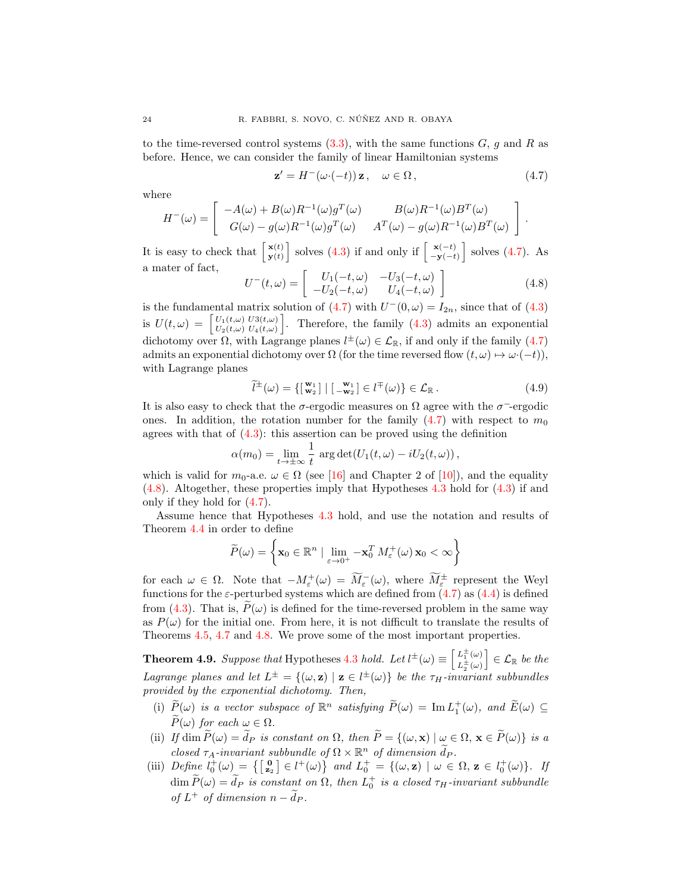to the time-reversed control systems  $(3.3)$ , with the same functions  $G, g$  and  $R$  as before. Hence, we can consider the family of linear Hamiltonian systems

<span id="page-23-0"></span>
$$
\mathbf{z}' = H^-(\omega \cdot (-t)) \mathbf{z}, \quad \omega \in \Omega, \tag{4.7}
$$

.

where

$$
H^{-}(\omega) = \begin{bmatrix} -A(\omega) + B(\omega)R^{-1}(\omega)g^{T}(\omega) & B(\omega)R^{-1}(\omega)B^{T}(\omega) \\ G(\omega) - g(\omega)R^{-1}(\omega)g^{T}(\omega) & A^{T}(\omega) - g(\omega)R^{-1}(\omega)B^{T}(\omega) \end{bmatrix}
$$

It is easy to check that  $\begin{bmatrix} \mathbf{x}(t) \\ \mathbf{y}(t) \end{bmatrix}$  $\begin{bmatrix} \mathbf{x}(t) \\ \mathbf{y}(t) \end{bmatrix}$  solves [\(4.3\)](#page-16-1) if and only if  $\begin{bmatrix} \mathbf{x}(-t) \\ -\mathbf{y}(-t) \end{bmatrix}$  $\begin{bmatrix} \mathbf{x}(-t) \\ -\mathbf{y}(-t) \end{bmatrix}$  solves [\(4.7\)](#page-23-0). As a mater of fact,

<span id="page-23-1"></span>
$$
U^{-}(t,\omega) = \begin{bmatrix} U_{1}(-t,\omega) & -U_{3}(-t,\omega) \\ -U_{2}(-t,\omega) & U_{4}(-t,\omega) \end{bmatrix}
$$
(4.8)

is the fundamental matrix solution of [\(4.7\)](#page-23-0) with  $U^-(0, \omega) = I_{2n}$ , since that of [\(4.3\)](#page-16-1) is  $U(t, \omega) =$  $U_1(t,\omega)$   $U_3(t,\omega)$  $U_1(t,\omega)$   $U_3(t,\omega)$ <br>  $U_2(t,\omega)$   $U_4(t,\omega)$ . Therefore, the family [\(4.3\)](#page-16-1) admits an exponential dichotomy over  $\Omega$ , with Lagrange planes  $l^{\pm}(\omega) \in \mathcal{L}_{\mathbb{R}}$ , if and only if the family [\(4.7\)](#page-23-0) admits an exponential dichotomy over  $\Omega$  (for the time reversed flow  $(t, \omega) \mapsto \omega \cdot (-t)$ ), with Lagrange planes

<span id="page-23-2"></span>
$$
\widetilde{l}^{\pm}(\omega) = \{ \begin{bmatrix} \mathbf{w}_1 \\ \mathbf{w}_2 \end{bmatrix} \mid \begin{bmatrix} \mathbf{w}_1 \\ -\mathbf{w}_2 \end{bmatrix} \in l^{\mp}(\omega) \} \in \mathcal{L}_{\mathbb{R}}.
$$
\n(4.9)

It is also easy to check that the  $\sigma$ -ergodic measures on  $\Omega$  agree with the  $\sigma$ <sup>-</sup>-ergodic ones. In addition, the rotation number for the family  $(4.7)$  with respect to  $m_0$ agrees with that of  $(4.3)$ : this assertion can be proved using the definition

$$
\alpha(m_0) = \lim_{t \to \pm \infty} \frac{1}{t} \arg \det(U_1(t,\omega) - iU_2(t,\omega)),
$$

which is valid for  $m_0$ -a.e.  $\omega \in \Omega$  (see [\[16\]](#page-25-8) and Chapter 2 of [\[10\]](#page-25-2)), and the equality [\(4.8\)](#page-23-1). Altogether, these properties imply that Hypotheses [4.3](#page-18-1) hold for [\(4.3\)](#page-16-1) if and only if they hold for [\(4.7\)](#page-23-0).

Assume hence that Hypotheses [4.3](#page-18-1) hold, and use the notation and results of Theorem [4.4](#page-18-2) in order to define

$$
\widetilde{P}(\omega) = \left\{ \mathbf{x}_0 \in \mathbb{R}^n \mid \lim_{\varepsilon \to 0^+} -\mathbf{x}_0^T M_{\varepsilon}^+(\omega) \mathbf{x}_0 < \infty \right\}
$$

for each  $\omega \in \Omega$ . Note that  $-M_{\varepsilon}^{+}(\omega) = \widetilde{M}_{\varepsilon}^{-}(\omega)$ , where  $\widetilde{M}_{\varepsilon}^{\pm}$  represent the Weyl functions for the  $\varepsilon$ -perturbed systems which are defined from  $(4.7)$  as  $(4.4)$  is defined from [\(4.3\)](#page-16-1). That is,  $\tilde{P}(\omega)$  is defined for the time-reversed problem in the same way as  $P(\omega)$  for the initial one. From here, it is not difficult to translate the results of Theorems [4.5,](#page-19-0) [4.7](#page-21-0) and [4.8.](#page-21-1) We prove some of the most important properties.

<span id="page-23-3"></span>**Theorem 4.9.** Suppose that Hypotheses [4.3](#page-18-1) hold. Let  $l^{\pm}(\omega) \equiv \begin{bmatrix} L^{\pm}_{1}(\omega) \\ L^{\pm}(\omega) \end{bmatrix}$  $L_2^{\pm}(\omega)$  $c \in \mathcal{L}_{\mathbb{R}}$  be the Lagrange planes and let  $L^{\pm} = \{(\omega, \mathbf{z}) \mid \mathbf{z} \in l^{\pm}(\omega)\}\$  be the  $\tau_H$ -invariant subbundles provided by the exponential dichotomy. Then,

- (i)  $\widetilde{P}(\omega)$  is a vector subspace of  $\mathbb{R}^n$  satisfying  $\widetilde{P}(\omega) = \text{Im } L_1^+(\omega)$ , and  $\widetilde{E}(\omega) \subseteq$  $\widetilde{P}(\omega)$  for each  $\omega \in \Omega$ .
- (ii) If dim  $\widetilde{P}(\omega) = \widetilde{d}_P$  is constant on  $\Omega$ , then  $\widetilde{P} = \{(\omega, \mathbf{x}) \mid \omega \in \Omega, \mathbf{x} \in \widetilde{P}(\omega)\}\$ is a
- closed  $\tau_A$ -invariant subbundle of  $\Omega \times \mathbb{R}^n$  of dimension  $\widetilde{d}_P$ .<br>(iii) Define  $l_0^+(\omega) = \{ \begin{bmatrix} \mathbf{0} \\ \mathbf{z}_2 \end{bmatrix} \in l^+(\omega) \}$  and  $L_0^+ = \{ (\omega, \mathbf{z}) \mid \omega \in \Omega, \mathbf{z} \in l_0^+(\omega) \}$ . If  $\dim \widetilde{P}(\omega) = \widetilde{d}_P$  is constant on  $\Omega$ , then  $L_0^+$  is a closed  $\tau_H$ -invariant subbundle of  $L^+$  of dimension  $n - \tilde{d}_P$ .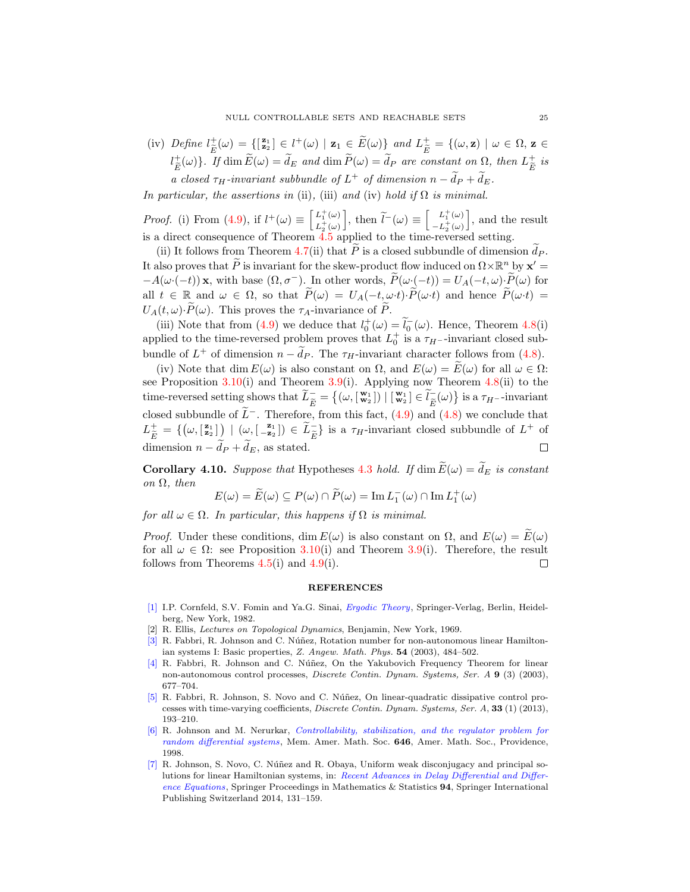(iv) Define  $l_E^{\pm}(\omega) = \{ [\frac{\mathbf{z}_1}{2}] \in l^+(\omega) \mid \mathbf{z}_1 \in \widetilde{E}(\omega) \}$  and  $L_{\widetilde{E}}^{\pm} = \{ (\omega, \mathbf{z}) \mid \omega \in \Omega, \mathbf{z} \in \mathbb{R} \}$  $\frac{E}{2}$  $(l_{\widetilde{E}}^+(\omega))$ . If  $\dim \widetilde{E}(\omega) = \widetilde{d}_E$  and  $\dim \widetilde{P}(\omega) = \widetilde{d}_P$  are constant on  $\Omega$ , then  $L_{\widetilde{E}}^+$  $\overline{E}$  $\stackrel{+}{\tilde{E}}$  is a closed  $\tau_H$ -invariant subbundle of  $L^+$  of dimension  $n - \tilde{d}_P + \tilde{d}_E$ .

In particular, the assertions in (ii), (iii) and (iv) hold if  $\Omega$  is minimal.

*Proof.* (i) From [\(4.9\)](#page-23-2), if  $l^+(\omega) \equiv \begin{bmatrix} L_1^+(\omega) \\ L_2^+(\omega) \end{bmatrix}$  $L_2^+(\omega)$ ], then  $\tilde{l}^-(\omega) \equiv \begin{bmatrix} L_1^+(\omega) \\ -L_2^+(\omega) \end{bmatrix}$  $-L_2^+(\omega)$ , and the result is a direct consequence of Theorem [4.5](#page-19-0) applied to the time-reversed setting.

(ii) It follows from Theorem [4.7\(](#page-21-0)ii) that  $\tilde{P}$  is a closed subbundle of dimension  $\tilde{d}_P$ . It also proves that  $\widetilde{P}$  is invariant for the skew-product flow induced on  $\Omega \times \mathbb{R}^n$  by  $\mathbf{x}' =$  $-A(\omega\cdot(-t))$  x, with base  $(\Omega,\sigma^-)$ . In other words,  $\widetilde{P}(\omega\cdot(-t))=U_A(-t,\omega)\cdot\widetilde{P}(\omega)$  for all  $t \in \mathbb{R}$  and  $\omega \in \Omega$ , so that  $P(\omega) = U_A(-t, \omega \cdot t) \cdot P(\omega \cdot t)$  and hence  $P(\omega \cdot t) =$  $U_A(t,\omega) \cdot \widetilde{P}(\omega)$ . This proves the  $\tau_A$ -invariance of  $\widetilde{P}$ .

(iii) Note that from [\(4.9\)](#page-23-2) we deduce that  $l_0^+(\omega) = \tilde{l}_0^-(\omega)$ . Hence, Theorem [4.8\(](#page-21-1)i) applied to the time-reversed problem proves that  $L_0^+$  is a  $\tau_{H^-}$ -invariant closed subbundle of  $L^+$  of dimension  $n - d_P$ . The  $\tau_H$ -invariant character follows from [\(4.8\)](#page-23-1).

(iv) Note that dim  $E(\omega)$  is also constant on  $\Omega$ , and  $E(\omega) = E(\omega)$  for all  $\omega \in \Omega$ : see Proposition  $3.10(i)$  $3.10(i)$  and Theorem  $3.9(i)$  $3.9(i)$ . Applying now Theorem  $4.8(ii)$  $4.8(ii)$  to the time-reversed setting shows that  $\widetilde{L}_{\widetilde{E}} = \{(\omega, [\mathbf{w}_1^{\mathbf{w}_1}]) \mid [\mathbf{w}_2] \in \widetilde{l}_{\widetilde{E}}(\omega)\}\$  is a  $\tau_H$ --invariant closed subbundle of  $\tilde{L}^-$ . Therefore, from this fact, [\(4.9\)](#page-23-2) and [\(4.8\)](#page-23-1) we conclude that  $L_{\tilde{E}}^{\pm} = \{ (\omega, [\frac{\mathbf{z}_1}{\mathbf{z}_2}]) \mid (\omega, [\frac{\mathbf{z}_1}{\mathbf{z}_2}]) \in \tilde{L}_{\tilde{E}}^{\pm} \}$  is a  $\tau_H$ -invariant closed subbundle of  $L^+$  of dimension  $n - \tilde{d}_P + \tilde{d}_E$ , as stated.  $\Box$ 

**Corollary 4.10.** Suppose that Hypotheses [4.3](#page-18-1) hold. If dim  $\widetilde{E}(\omega) = \widetilde{d}_E$  is constant on  $\Omega$ , then

$$
E(\omega) = \widetilde{E}(\omega) \subseteq P(\omega) \cap \widetilde{P}(\omega) = \operatorname{Im} L_1^-(\omega) \cap \operatorname{Im} L_1^+(\omega)
$$

for all  $\omega \in \Omega$ . In particular, this happens if  $\Omega$  is minimal.

*Proof.* Under these conditions, dim  $E(\omega)$  is also constant on  $\Omega$ , and  $E(\omega) = \widetilde{E}(\omega)$ for all  $\omega \in \Omega$ : see Proposition [3.10\(](#page-15-0)i) and Theorem [3.9\(](#page-14-1)i). Therefore, the result follows from Theorems  $4.5(i)$  $4.5(i)$  and  $4.9(i)$  $4.9(i)$ . □

## REFERENCES

- <span id="page-24-3"></span>[\[1\]](http://www.ams.org/mathscinet-getitem?mr=MR0832433&return=pdf) I.P. Cornfeld, S.V. Fomin and Ya.G. Sinai, [Ergodic Theory](http://dx.doi.org/10.1007/978-1-4615-6927-5), Springer-Verlag, Berlin, Heidelberg, New York, 1982.
- <span id="page-24-2"></span>R. Ellis, Lectures on Topological Dynamics, Benjamin, New York, 1969.
- <span id="page-24-4"></span>[\[3\]](http://www.ams.org/mathscinet-getitem?mr=MR2048667&return=pdf) R. Fabbri, R. Johnson and C. Núñez, Rotation number for non-autonomous linear Hamiltonian systems I: Basic properties, Z. Angew. Math. Phys. 54 (2003), 484–502.
- <span id="page-24-1"></span>[\[4\]](http://www.ams.org/mathscinet-getitem?mr=MR1974533&return=pdf) R. Fabbri, R. Johnson and C. Núñez, On the Yakubovich Frequency Theorem for linear non-autonomous control processes, Discrete Contin. Dynam. Systems, Ser. A 9 (3) (2003), 677–704.
- <span id="page-24-0"></span>[\[5\]](http://www.ams.org/mathscinet-getitem?mr=MR2972954&return=pdf) R. Fabbri, R. Johnson, S. Novo and C. Núñez, On linear-quadratic dissipative control processes with time-varying coefficients, Discrete Contin. Dynam. Systems, Ser. A, 33 (1) (2013), 193–210.
- <span id="page-24-5"></span>[\[6\]](http://www.ams.org/mathscinet-getitem?mr=MR1445491&return=pdf) R. Johnson and M. Nerurkar, [Controllability, stabilization, and the regulator problem for](http://dx.doi.org/ http://dx.doi.org/10.1090/memo/0646) [random differential systems](http://dx.doi.org/ http://dx.doi.org/10.1090/memo/0646), Mem. Amer. Math. Soc. 646, Amer. Math. Soc., Providence, 1998.
- <span id="page-24-6"></span>[\[7\]](http://www.ams.org/mathscinet-getitem?mr=MR3280189&return=pdf) R. Johnson, S. Novo, C. Núñez and R. Obaya, Uniform weak disconjugacy and principal solutions for linear Hamiltonian systems, in: [Recent Advances in Delay Differential and Differ](http://dx.doi.org/10.1007/978-3-319-08251-6)[ence Equations](http://dx.doi.org/10.1007/978-3-319-08251-6), Springer Proceedings in Mathematics & Statistics 94, Springer International Publishing Switzerland 2014, 131–159.